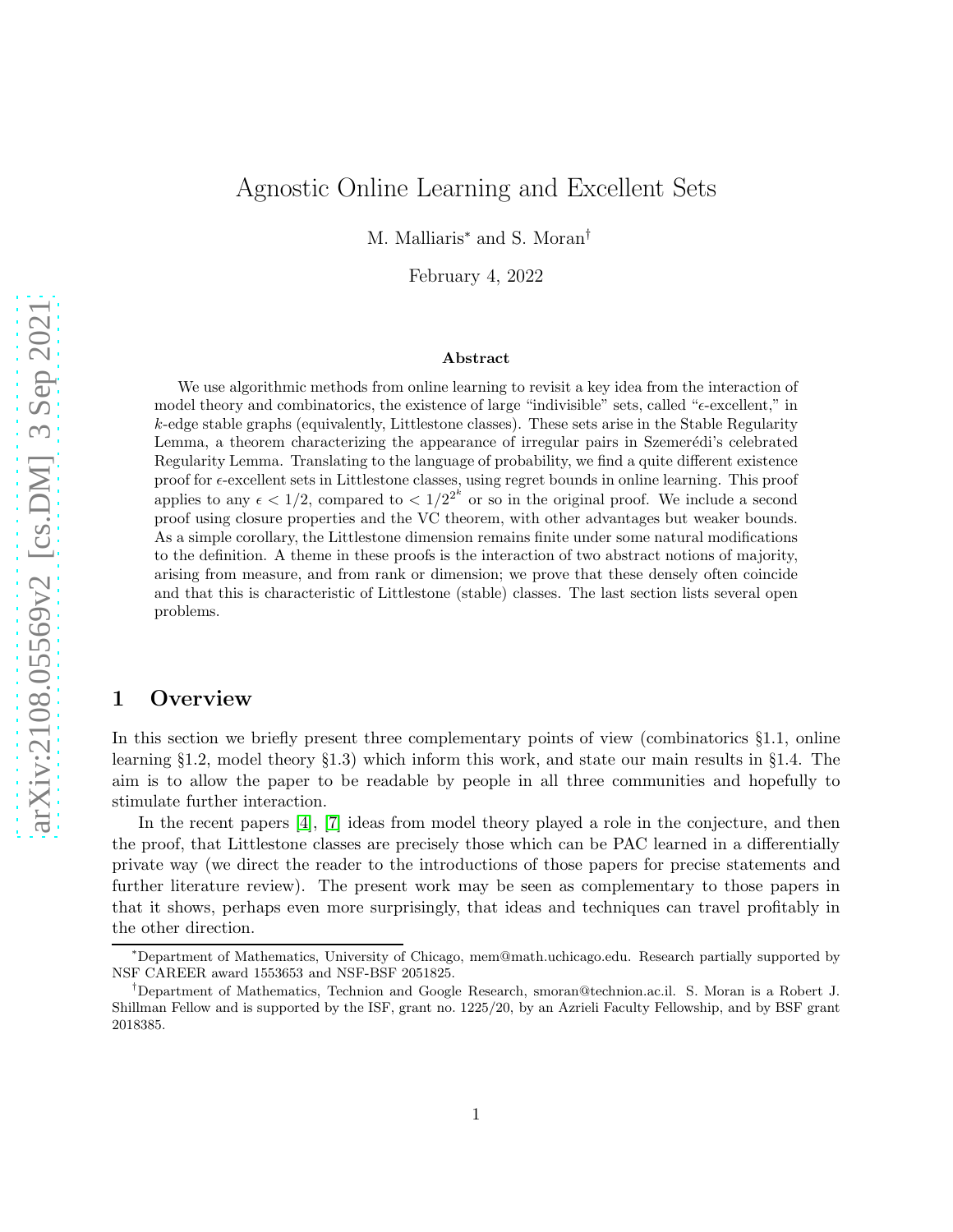# Agnostic Online Learning and Excellent Sets

M. Malliaris<sup>∗</sup> and S. Moran†

February 4, 2022

#### Abstract

We use algorithmic methods from online learning to revisit a key idea from the interaction of model theory and combinatorics, the existence of large "indivisible" sets, called " $\epsilon$ -excellent," in k-edge stable graphs (equivalently, Littlestone classes). These sets arise in the Stable Regularity Lemma, a theorem characterizing the appearance of irregular pairs in Szemerédi's celebrated Regularity Lemma. Translating to the language of probability, we find a quite different existence proof for  $\epsilon$ -excellent sets in Littlestone classes, using regret bounds in online learning. This proof applies to any  $\epsilon < 1/2$ , compared to  $\epsilon < 1/2^{2^k}$  or so in the original proof. We include a second proof using closure properties and the VC theorem, with other advantages but weaker bounds. As a simple corollary, the Littlestone dimension remains finite under some natural modifications to the definition. A theme in these proofs is the interaction of two abstract notions of majority, arising from measure, and from rank or dimension; we prove that these densely often coincide and that this is characteristic of Littlestone (stable) classes. The last section lists several open problems.

# 1 Overview

In this section we briefly present three complementary points of view (combinatorics §1.1, online learning §1.2, model theory §1.3) which inform this work, and state our main results in §1.4. The aim is to allow the paper to be readable by people in all three communities and hopefully to stimulate further interaction.

In the recent papers [\[4\]](#page-20-0), [\[7\]](#page-20-1) ideas from model theory played a role in the conjecture, and then the proof, that Littlestone classes are precisely those which can be PAC learned in a differentially private way (we direct the reader to the introductions of those papers for precise statements and further literature review). The present work may be seen as complementary to those papers in that it shows, perhaps even more surprisingly, that ideas and techniques can travel profitably in the other direction.

<sup>∗</sup>Department of Mathematics, University of Chicago, mem@math.uchicago.edu. Research partially supported by NSF CAREER award 1553653 and NSF-BSF 2051825.

<sup>†</sup>Department of Mathematics, Technion and Google Research, smoran@technion.ac.il. S. Moran is a Robert J. Shillman Fellow and is supported by the ISF, grant no. 1225/20, by an Azrieli Faculty Fellowship, and by BSF grant 2018385.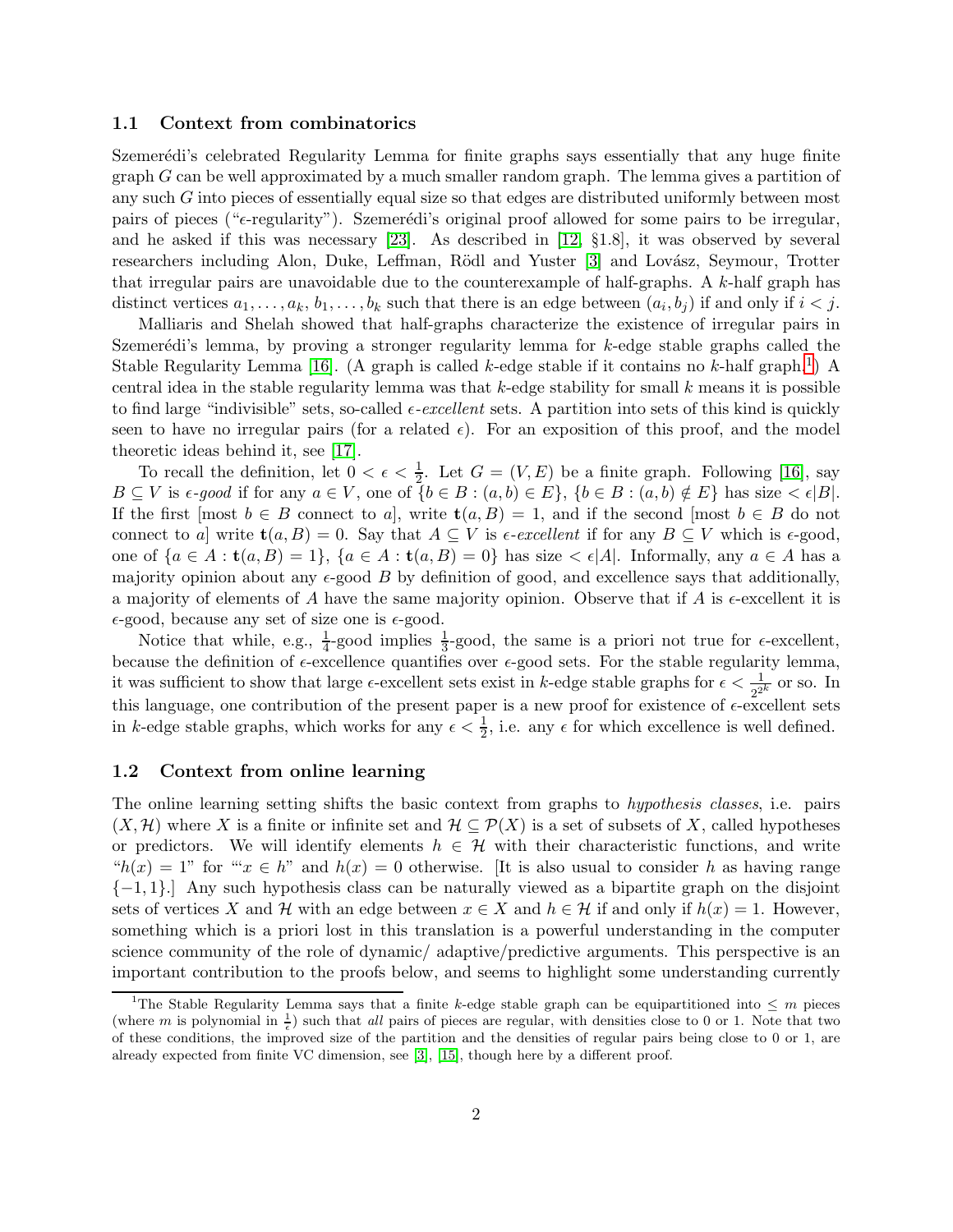#### 1.1 Context from combinatorics

Szemerédi's celebrated Regularity Lemma for finite graphs says essentially that any huge finite graph G can be well approximated by a much smaller random graph. The lemma gives a partition of any such G into pieces of essentially equal size so that edges are distributed uniformly between most pairs of pieces (" $\epsilon$ -regularity"). Szemerédi's original proof allowed for some pairs to be irregular, and he asked if this was necessary [\[23\]](#page-21-0). As described in [\[12,](#page-20-2) §1.8], it was observed by several researchers including Alon, Duke, Leffman, Rödl and Yuster [\[3\]](#page-20-3) and Lovász, Seymour, Trotter that irregular pairs are unavoidable due to the counterexample of half-graphs. A  $k$ -half graph has distinct vertices  $a_1, \ldots, a_k, b_1, \ldots, b_k$  such that there is an edge between  $(a_i, b_j)$  if and only if  $i < j$ .

Malliaris and Shelah showed that half-graphs characterize the existence of irregular pairs in Szemerédi's lemma, by proving a stronger regularity lemma for  $k$ -edge stable graphs called the Stable Regularity Lemma [\[16\]](#page-21-1). (A graph is called k-edge stable if it contains no k-half graph.<sup>[1](#page-1-0)</sup>) A central idea in the stable regularity lemma was that  $k$ -edge stability for small  $k$  means it is possible to find large "indivisible" sets, so-called  $\epsilon$ -excellent sets. A partition into sets of this kind is quickly seen to have no irregular pairs (for a related  $\epsilon$ ). For an exposition of this proof, and the model theoretic ideas behind it, see [\[17\]](#page-21-2).

To recall the definition, let  $0 < \epsilon < \frac{1}{2}$ . Let  $G = (V, E)$  be a finite graph. Following [\[16\]](#page-21-1), say  $B \subseteq V$  is  $\epsilon$ -good if for any  $a \in V$ , one of  $\{b \in B : (a, b) \in E\}$ ,  $\{b \in B : (a, b) \notin E\}$  has size  $\lt \epsilon |B|$ . If the first  $[m_{\text{out}} b \in B]$  connect to a, write  $\mathbf{t}(a, B) = 1$ , and if the second  $[m_{\text{out}} b \in B]$  do not connect to a] write  $\mathbf{t}(a, B) = 0$ . Say that  $A \subseteq V$  is  $\epsilon$ -excellent if for any  $B \subseteq V$  which is  $\epsilon$ -good, one of  ${a \in A : t(a, B) = 1}, {a \in A : t(a, B) = 0}$  has size  $\lt \epsilon |A|$ . Informally, any  $a \in A$  has a majority opinion about any  $\epsilon$ -good B by definition of good, and excellence says that additionally, a majority of elements of A have the same majority opinion. Observe that if A is  $\epsilon$ -excellent it is  $\epsilon$ -good, because any set of size one is  $\epsilon$ -good.

Notice that while, e.g.,  $\frac{1}{4}$ -good implies  $\frac{1}{3}$ -good, the same is a priori not true for  $\epsilon$ -excellent, because the definition of  $\epsilon$ -excellence quantifies over  $\epsilon$ -good sets. For the stable regularity lemma, it was sufficient to show that large  $\epsilon$ -excellent sets exist in k-edge stable graphs for  $\epsilon < \frac{1}{2k}$  or so. In this language, one contribution of the present paper is a new proof for existence of  $\epsilon$ -excellent sets in k-edge stable graphs, which works for any  $\epsilon < \frac{1}{2}$ , i.e. any  $\epsilon$  for which excellence is well defined.

### 1.2 Context from online learning

The online learning setting shifts the basic context from graphs to hypothesis classes, i.e. pairs  $(X, \mathcal{H})$  where X is a finite or infinite set and  $\mathcal{H} \subseteq \mathcal{P}(X)$  is a set of subsets of X, called hypotheses or predictors. We will identify elements  $h \in \mathcal{H}$  with their characteristic functions, and write " $h(x) = 1$ " for "" $x \in h$ " and  $h(x) = 0$  otherwise. [It is also usual to consider h as having range  $\{-1, 1\}$ .] Any such hypothesis class can be naturally viewed as a bipartite graph on the disjoint sets of vertices X and H with an edge between  $x \in X$  and  $h \in \mathcal{H}$  if and only if  $h(x) = 1$ . However, something which is a priori lost in this translation is a powerful understanding in the computer science community of the role of dynamic/ adaptive/predictive arguments. This perspective is an important contribution to the proofs below, and seems to highlight some understanding currently

<span id="page-1-0"></span><sup>&</sup>lt;sup>1</sup>The Stable Regularity Lemma says that a finite k-edge stable graph can be equipartitioned into  $\leq m$  pieces (where m is polynomial in  $\frac{1}{\epsilon}$ ) such that all pairs of pieces are regular, with densities close to 0 or 1. Note that two of these conditions, the improved size of the partition and the densities of regular pairs being close to 0 or 1, are already expected from finite VC dimension, see [\[3\]](#page-20-3), [\[15\]](#page-21-3), though here by a different proof.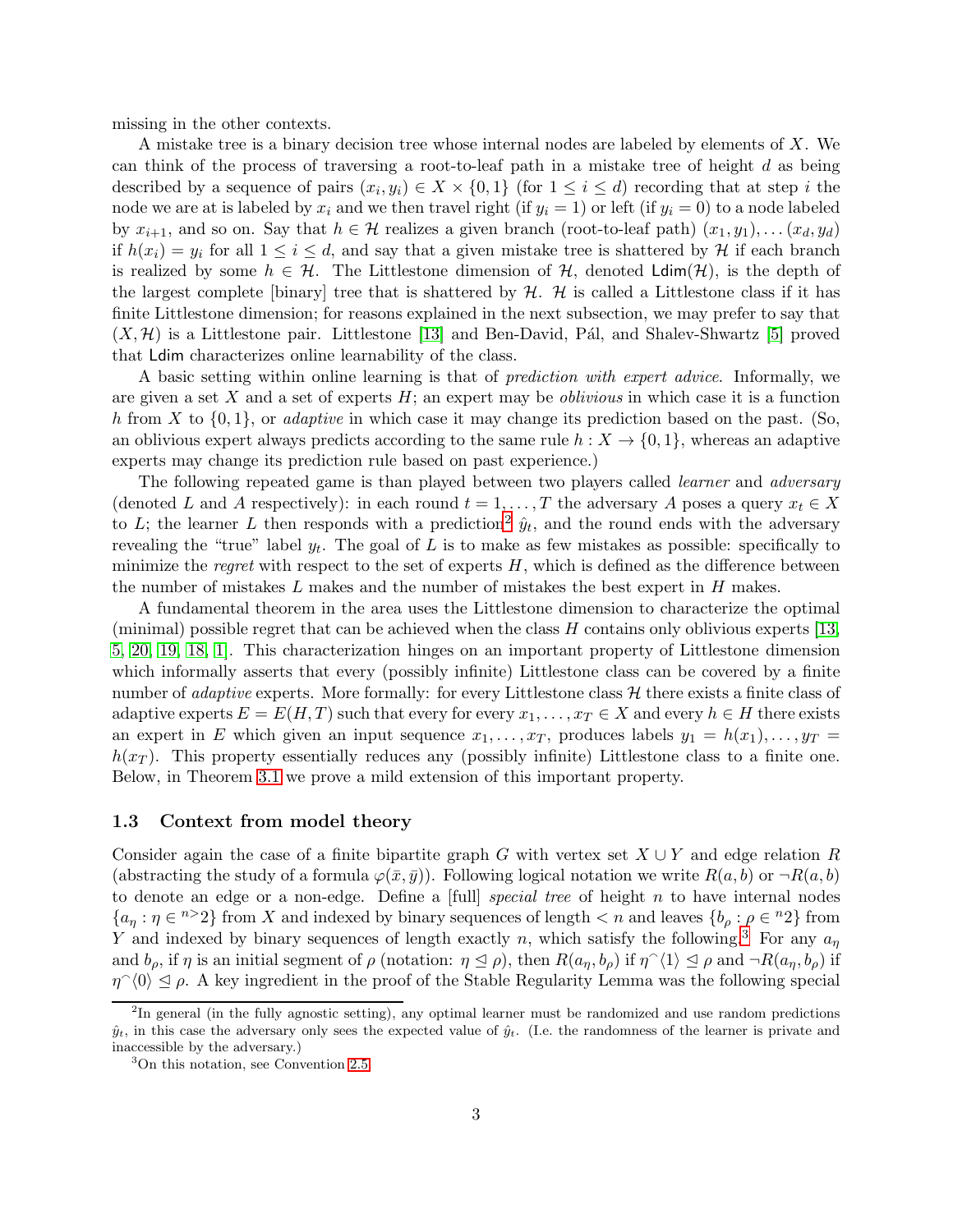missing in the other contexts.

A mistake tree is a binary decision tree whose internal nodes are labeled by elements of X. We can think of the process of traversing a root-to-leaf path in a mistake tree of height  $d$  as being described by a sequence of pairs  $(x_i, y_i) \in X \times \{0, 1\}$  (for  $1 \leq i \leq d$ ) recording that at step i the node we are at is labeled by  $x_i$  and we then travel right (if  $y_i = 1$ ) or left (if  $y_i = 0$ ) to a node labeled by  $x_{i+1}$ , and so on. Say that  $h \in \mathcal{H}$  realizes a given branch (root-to-leaf path)  $(x_1, y_1), \ldots (x_d, y_d)$ if  $h(x_i) = y_i$  for all  $1 \leq i \leq d$ , and say that a given mistake tree is shattered by  $\mathcal{H}$  if each branch is realized by some  $h \in \mathcal{H}$ . The Littlestone dimension of  $\mathcal{H}$ , denoted  $\text{Ldim}(\mathcal{H})$ , is the depth of the largest complete [binary] tree that is shattered by  $H$ .  $H$  is called a Littlestone class if it has finite Littlestone dimension; for reasons explained in the next subsection, we may prefer to say that  $(X, \mathcal{H})$  is a Littlestone pair. Littlestone [\[13\]](#page-20-4) and Ben-David, Pál, and Shalev-Shwartz [\[5\]](#page-20-5) proved that Ldim characterizes online learnability of the class.

A basic setting within online learning is that of *prediction with expert advice*. Informally, we are given a set X and a set of experts  $H$ ; an expert may be *oblivious* in which case it is a function h from X to  $\{0,1\}$ , or *adaptive* in which case it may change its prediction based on the past. (So, an oblivious expert always predicts according to the same rule  $h: X \to \{0,1\}$ , whereas an adaptive experts may change its prediction rule based on past experience.)

The following repeated game is than played between two players called *learner* and *adversary* (denoted L and A respectively): in each round  $t = 1, \ldots, T$  the adversary A poses a query  $x_t \in X$ to L; the learner L then responds with a prediction<sup>[2](#page-2-0)</sup>  $\hat{y}_t$ , and the round ends with the adversary revealing the "true" label  $y_t$ . The goal of L is to make as few mistakes as possible: specifically to minimize the regret with respect to the set of experts  $H$ , which is defined as the difference between the number of mistakes  $L$  makes and the number of mistakes the best expert in  $H$  makes.

A fundamental theorem in the area uses the Littlestone dimension to characterize the optimal (minimal) possible regret that can be achieved when the class  $H$  contains only oblivious experts [\[13,](#page-20-4) [5,](#page-20-5) [20,](#page-21-4) [19,](#page-21-5) [18,](#page-21-6) [1\]](#page-20-6). This characterization hinges on an important property of Littlestone dimension which informally asserts that every (possibly infinite) Littlestone class can be covered by a finite number of *adaptive* experts. More formally: for every Littlestone class  $H$  there exists a finite class of adaptive experts  $E = E(H, T)$  such that every for every  $x_1, \ldots, x_T \in X$  and every  $h \in H$  there exists an expert in E which given an input sequence  $x_1, \ldots, x_T$ , produces labels  $y_1 = h(x_1), \ldots, y_T =$  $h(x_T)$ . This property essentially reduces any (possibly infinite) Littlestone class to a finite one. Below, in Theorem [3.1](#page-6-0) we prove a mild extension of this important property.

#### <span id="page-2-2"></span>1.3 Context from model theory

Consider again the case of a finite bipartite graph G with vertex set  $X \cup Y$  and edge relation R (abstracting the study of a formula  $\varphi(\bar{x}, \bar{y})$ ). Following logical notation we write  $R(a, b)$  or  $\neg R(a, b)$ to denote an edge or a non-edge. Define a  $[full]$  special tree of height n to have internal nodes  $\{a_{\eta} : \eta \in {}^{n>2}\}\$ from X and indexed by binary sequences of length  $\langle n \rangle$  and leaves  $\{b_{\rho} : \rho \in {}^{n}2\}$  from Y and indexed by binary sequences of length exactly n, which satisfy the following.<sup>[3](#page-2-1)</sup> For any  $a_{\eta}$ and  $b_{\rho}$ , if  $\eta$  is an initial segment of  $\rho$  (notation:  $\eta \leq \rho$ ), then  $R(a_{\eta}, b_{\rho})$  if  $\eta^{\sim}(1) \leq \rho$  and  $\neg R(a_{\eta}, b_{\rho})$  if  $\eta^{\wedge}(0) \leq \rho$ . A key ingredient in the proof of the Stable Regularity Lemma was the following special

<span id="page-2-0"></span><sup>&</sup>lt;sup>2</sup>In general (in the fully agnostic setting), any optimal learner must be randomized and use random predictions  $\hat{y}_t$ , in this case the adversary only sees the expected value of  $\hat{y}_t$ . (I.e. the randomness of the learner is private and inaccessible by the adversary.)

<span id="page-2-1"></span><sup>3</sup>On this notation, see Convention [2.5.](#page-5-0)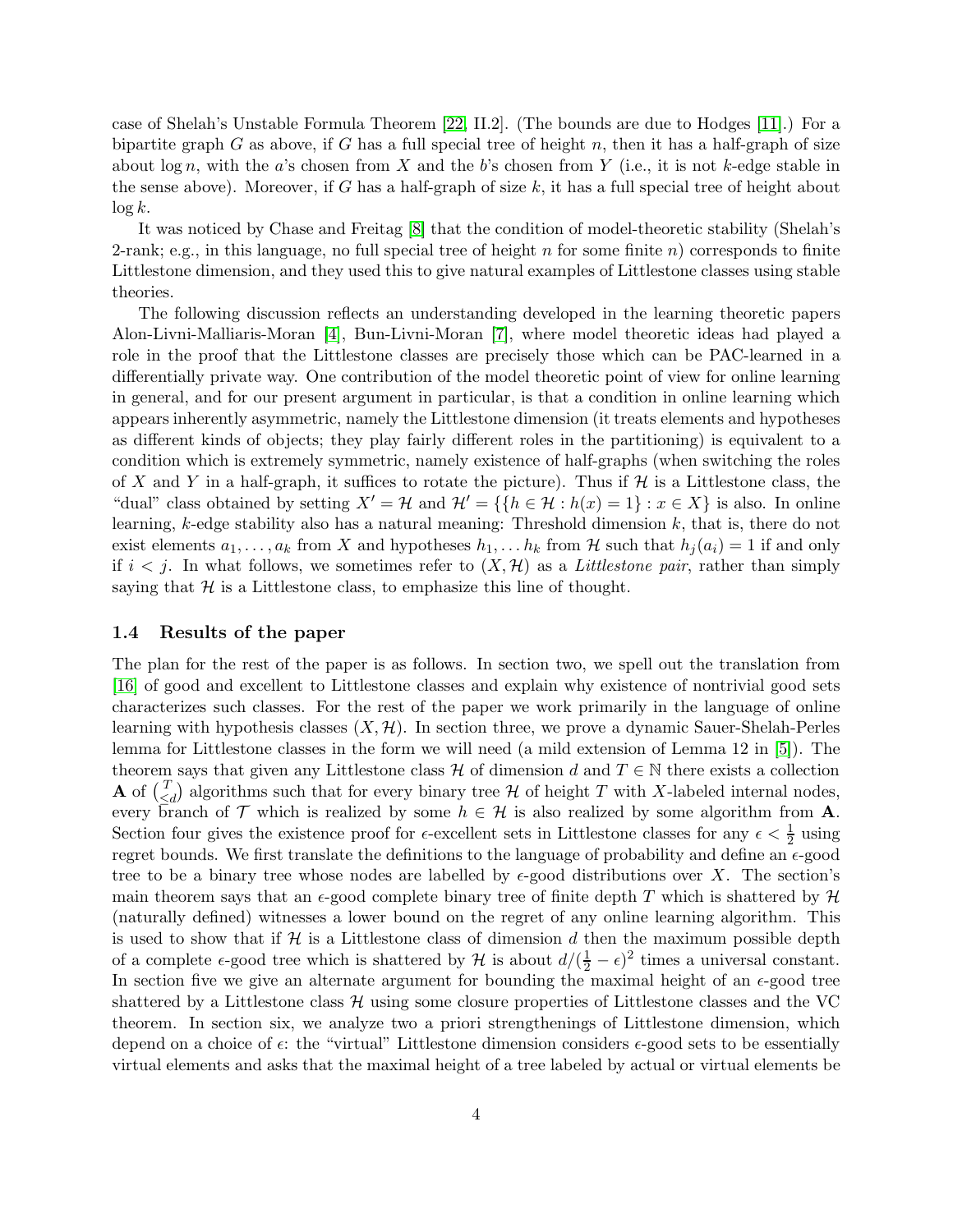case of Shelah's Unstable Formula Theorem [\[22,](#page-21-7) II.2]. (The bounds are due to Hodges [\[11\]](#page-20-7).) For a bipartite graph  $G$  as above, if  $G$  has a full special tree of height  $n$ , then it has a half-graph of size about  $\log n$ , with the a's chosen from X and the b's chosen from Y (i.e., it is not k-edge stable in the sense above). Moreover, if G has a half-graph of size  $k$ , it has a full special tree of height about  $\log k$ .

It was noticed by Chase and Freitag [\[8\]](#page-20-8) that the condition of model-theoretic stability (Shelah's 2-rank; e.g., in this language, no full special tree of height n for some finite n) corresponds to finite Littlestone dimension, and they used this to give natural examples of Littlestone classes using stable theories.

The following discussion reflects an understanding developed in the learning theoretic papers Alon-Livni-Malliaris-Moran [\[4\]](#page-20-0), Bun-Livni-Moran [\[7\]](#page-20-1), where model theoretic ideas had played a role in the proof that the Littlestone classes are precisely those which can be PAC-learned in a differentially private way. One contribution of the model theoretic point of view for online learning in general, and for our present argument in particular, is that a condition in online learning which appears inherently asymmetric, namely the Littlestone dimension (it treats elements and hypotheses as different kinds of objects; they play fairly different roles in the partitioning) is equivalent to a condition which is extremely symmetric, namely existence of half-graphs (when switching the roles of X and Y in a half-graph, it suffices to rotate the picture). Thus if  $\mathcal H$  is a Littlestone class, the "dual" class obtained by setting  $X' = H$  and  $H' = \{ \{ h \in H : h(x) = 1 \} : x \in X \}$  is also. In online learning, k-edge stability also has a natural meaning: Threshold dimension k, that is, there do not exist elements  $a_1, \ldots, a_k$  from X and hypotheses  $h_1, \ldots, h_k$  from H such that  $h_j(a_i) = 1$  if and only if  $i < j$ . In what follows, we sometimes refer to  $(X, \mathcal{H})$  as a *Littlestone pair*, rather than simply saying that  $H$  is a Littlestone class, to emphasize this line of thought.

### 1.4 Results of the paper

The plan for the rest of the paper is as follows. In section two, we spell out the translation from [\[16\]](#page-21-1) of good and excellent to Littlestone classes and explain why existence of nontrivial good sets characterizes such classes. For the rest of the paper we work primarily in the language of online learning with hypothesis classes  $(X, \mathcal{H})$ . In section three, we prove a dynamic Sauer-Shelah-Perles lemma for Littlestone classes in the form we will need (a mild extension of Lemma 12 in [\[5\]](#page-20-5)). The theorem says that given any Littlestone class H of dimension d and  $T \in \mathbb{N}$  there exists a collection **A** of  $\begin{pmatrix} T \\ Z \end{pmatrix}$  $\begin{bmatrix} T \\ \le d \end{bmatrix}$  algorithms such that for every binary tree H of height T with X-labeled internal nodes, every branch of T which is realized by some  $h \in \mathcal{H}$  is also realized by some algorithm from A. Section four gives the existence proof for  $\epsilon$ -excellent sets in Littlestone classes for any  $\epsilon < \frac{1}{2}$  using regret bounds. We first translate the definitions to the language of probability and define an  $\epsilon$ -good tree to be a binary tree whose nodes are labelled by  $\epsilon$ -good distributions over X. The section's main theorem says that an  $\epsilon$ -good complete binary tree of finite depth T which is shattered by H (naturally defined) witnesses a lower bound on the regret of any online learning algorithm. This is used to show that if  $H$  is a Littlestone class of dimension d then the maximum possible depth of a complete  $\epsilon$ -good tree which is shattered by  $\mathcal{H}$  is about  $d/(\frac{1}{2}-\epsilon)^2$  times a universal constant. In section five we give an alternate argument for bounding the maximal height of an  $\epsilon$ -good tree shattered by a Littlestone class  $\mathcal H$  using some closure properties of Littlestone classes and the VC theorem. In section six, we analyze two a priori strengthenings of Littlestone dimension, which depend on a choice of  $\epsilon$ : the "virtual" Littlestone dimension considers  $\epsilon$ -good sets to be essentially virtual elements and asks that the maximal height of a tree labeled by actual or virtual elements be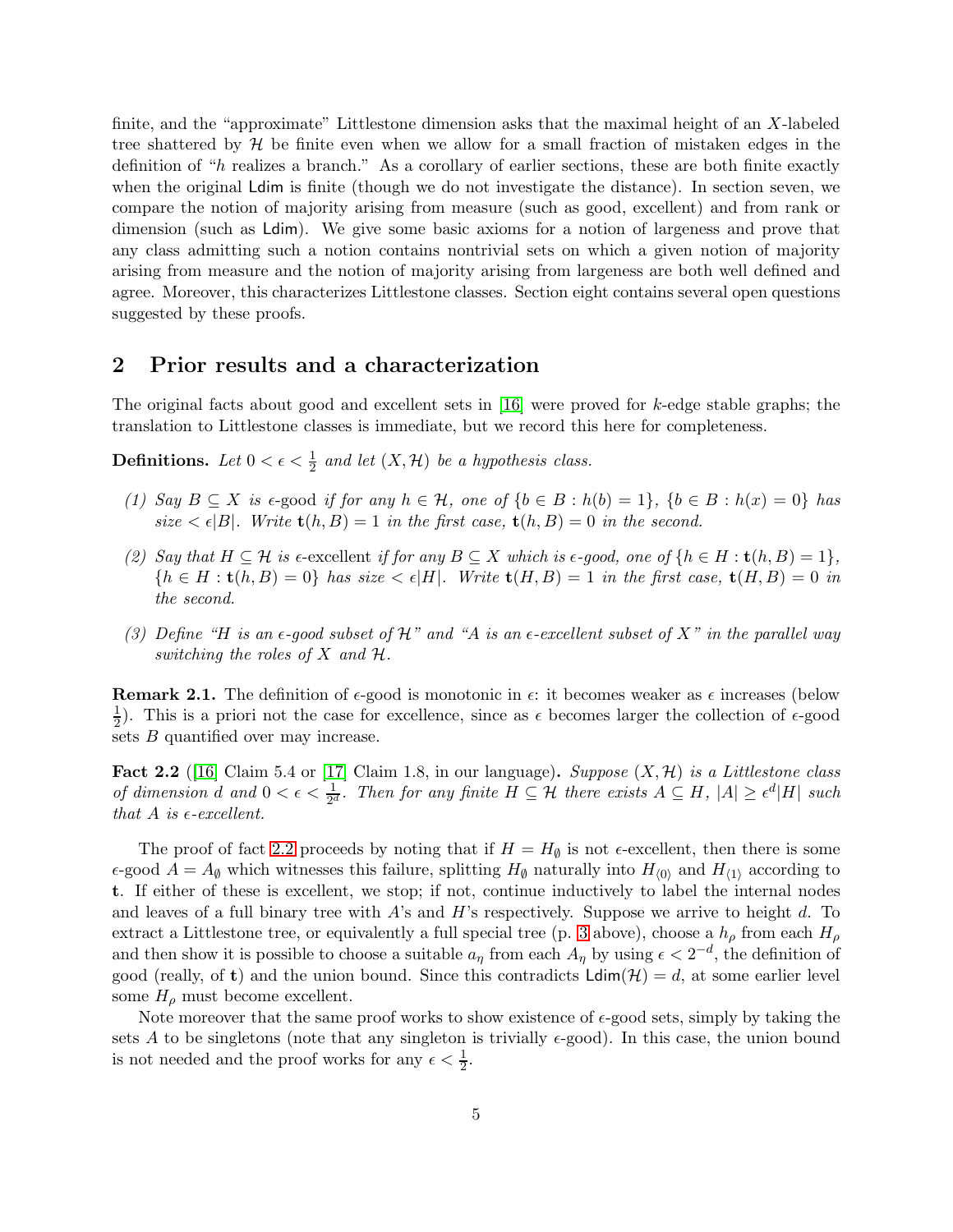finite, and the "approximate" Littlestone dimension asks that the maximal height of an X-labeled tree shattered by  $H$  be finite even when we allow for a small fraction of mistaken edges in the definition of "h realizes a branch." As a corollary of earlier sections, these are both finite exactly when the original Ldim is finite (though we do not investigate the distance). In section seven, we compare the notion of majority arising from measure (such as good, excellent) and from rank or dimension (such as Ldim). We give some basic axioms for a notion of largeness and prove that any class admitting such a notion contains nontrivial sets on which a given notion of majority arising from measure and the notion of majority arising from largeness are both well defined and agree. Moreover, this characterizes Littlestone classes. Section eight contains several open questions suggested by these proofs.

### 2 Prior results and a characterization

The original facts about good and excellent sets in [\[16\]](#page-21-1) were proved for k-edge stable graphs; the translation to Littlestone classes is immediate, but we record this here for completeness.

**Definitions.** Let  $0 < \epsilon < \frac{1}{2}$  and let  $(X, \mathcal{H})$  be a hypothesis class.

- (1) Say  $B \subseteq X$  is  $\epsilon$ -good if for any  $h \in \mathcal{H}$ , one of  $\{b \in B : h(b) = 1\}$ ,  $\{b \in B : h(x) = 0\}$  has size  $\langle \epsilon |B|$ . Write  $\mathbf{t}(h, B) = 1$  in the first case,  $\mathbf{t}(h, B) = 0$  in the second.
- (2) Say that  $H \subseteq \mathcal{H}$  is  $\epsilon$ -excellent if for any  $B \subseteq X$  which is  $\epsilon$ -good, one of  $\{h \in H : t(h, B) = 1\},$  ${h \in H : t(h, B) = 0}$  has size  $\lt \epsilon |H|$ . Write  $t(H, B) = 1$  in the first case,  $t(H, B) = 0$  in the second.
- (3) Define "H is an  $\epsilon$ -good subset of H" and "A is an  $\epsilon$ -excellent subset of X" in the parallel way switching the roles of  $X$  and  $H$ .

**Remark 2.1.** The definition of  $\epsilon$ -good is monotonic in  $\epsilon$ : it becomes weaker as  $\epsilon$  increases (below 1  $\frac{1}{2}$ ). This is a priori not the case for excellence, since as  $\epsilon$  becomes larger the collection of  $\epsilon$ -good sets  $B$  quantified over may increase.

<span id="page-4-0"></span>**Fact 2.2** ([\[16\]](#page-21-1) Claim 5.4 or [\[17\]](#page-21-2) Claim 1.8, in our language). Suppose  $(X, \mathcal{H})$  is a Littlestone class of dimension d and  $0 < \epsilon < \frac{1}{2^d}$ . Then for any finite  $H \subseteq \mathcal{H}$  there exists  $A \subseteq H$ ,  $|A| \geq \epsilon^d |H|$  such that A is  $\epsilon$ -excellent.

The proof of fact [2.2](#page-4-0) proceeds by noting that if  $H = H_{\emptyset}$  is not  $\epsilon$ -excellent, then there is some  $\epsilon$ -good  $A = A_{\emptyset}$  which witnesses this failure, splitting  $H_{\emptyset}$  naturally into  $H_{(0)}$  and  $H_{(1)}$  according to t. If either of these is excellent, we stop; if not, continue inductively to label the internal nodes and leaves of a full binary tree with  $A$ 's and  $H$ 's respectively. Suppose we arrive to height d. To extract a Littlestone tree, or equivalently a full special tree (p. [3](#page-2-2) above), choose a  $h_{\rho}$  from each  $H_{\rho}$ and then show it is possible to choose a suitable  $a_{\eta}$  from each  $A_{\eta}$  by using  $\epsilon < 2^{-d}$ , the definition of good (really, of t) and the union bound. Since this contradicts  $\text{Ldim}(\mathcal{H}) = d$ , at some earlier level some  $H_{\rho}$  must become excellent.

Note moreover that the same proof works to show existence of  $\epsilon$ -good sets, simply by taking the sets A to be singletons (note that any singleton is trivially  $\epsilon$ -good). In this case, the union bound is not needed and the proof works for any  $\epsilon < \frac{1}{2}$ .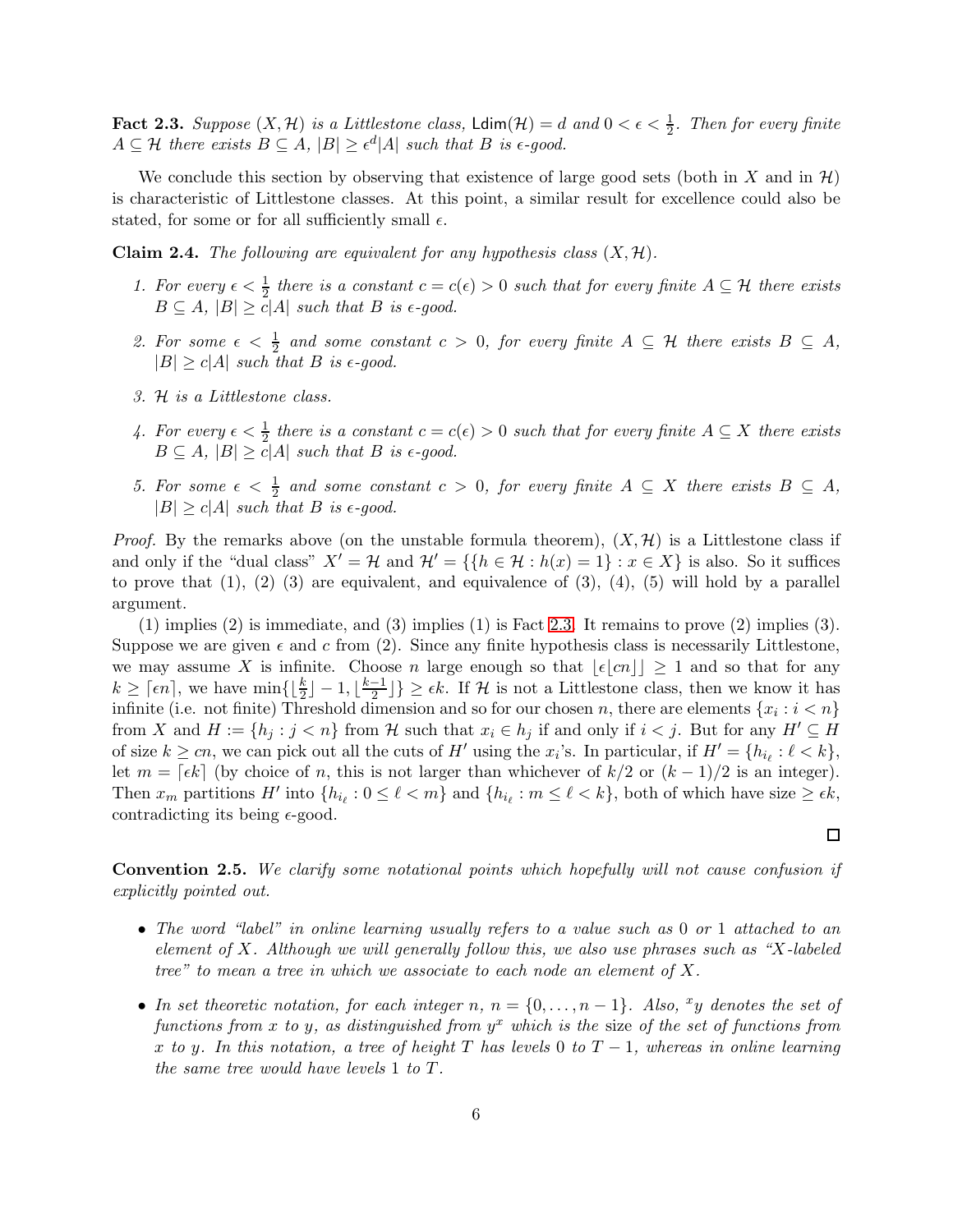<span id="page-5-1"></span>**Fact 2.3.** Suppose  $(X, \mathcal{H})$  is a Littlestone class,  $\text{Ldim}(\mathcal{H}) = d$  and  $0 < \epsilon < \frac{1}{2}$ . Then for every finite  $A \subseteq \mathcal{H}$  there exists  $B \subseteq A$ ,  $|B| \geq \epsilon^d |A|$  such that B is  $\epsilon$ -good.

We conclude this section by observing that existence of large good sets (both in X and in  $\mathcal{H}$ ) is characteristic of Littlestone classes. At this point, a similar result for excellence could also be stated, for some or for all sufficiently small  $\epsilon$ .

<span id="page-5-2"></span>**Claim 2.4.** The following are equivalent for any hypothesis class  $(X, \mathcal{H})$ .

- 1. For every  $\epsilon < \frac{1}{2}$  there is a constant  $c = c(\epsilon) > 0$  such that for every finite  $A \subseteq H$  there exists  $B \subseteq A$ ,  $|B| \ge c|A|$  such that B is  $\epsilon$ -good.
- 2. For some  $\epsilon < \frac{1}{2}$  and some constant  $c > 0$ , for every finite  $A \subseteq \mathcal{H}$  there exists  $B \subseteq A$ ,  $|B| \ge c|A|$  such that B is  $\epsilon$ -good.
- 3. H is a Littlestone class.
- 4. For every  $\epsilon < \frac{1}{2}$  there is a constant  $c = c(\epsilon) > 0$  such that for every finite  $A \subseteq X$  there exists  $B \subseteq A$ ,  $|B| \ge c|A|$  such that B is  $\epsilon$ -good.
- 5. For some  $\epsilon < \frac{1}{2}$  and some constant  $c > 0$ , for every finite  $A \subseteq X$  there exists  $B \subseteq A$ ,  $|B| \ge c|A|$  such that B is  $\epsilon$ -good.

*Proof.* By the remarks above (on the unstable formula theorem),  $(X, \mathcal{H})$  is a Littlestone class if and only if the "dual class"  $X' = H$  and  $H' = \{ \{ h \in H : h(x) = 1 \} : x \in X \}$  is also. So it suffices to prove that  $(1)$ ,  $(2)$   $(3)$  are equivalent, and equivalence of  $(3)$ ,  $(4)$ ,  $(5)$  will hold by a parallel argument.

(1) implies (2) is immediate, and (3) implies (1) is Fact [2.3.](#page-5-1) It remains to prove (2) implies (3). Suppose we are given  $\epsilon$  and c from (2). Since any finite hypothesis class is necessarily Littlestone, we may assume X is infinite. Choose n large enough so that  $|\epsilon|cn|| \geq 1$  and so that for any  $k \geq \lceil \epsilon n \rceil$ , we have  $\min\{\lfloor \frac{k}{2} \rfloor - 1, \lfloor \frac{k-1}{2} \rfloor\}$  $\left\{\frac{-1}{2}\right\} \geq \epsilon k$ . If H is not a Littlestone class, then we know it has infinite (i.e. not finite) Threshold dimension and so for our chosen n, there are elements  $\{x_i : i < n\}$ from X and  $H := \{h_j : j < n\}$  from H such that  $x_i \in h_j$  if and only if  $i < j$ . But for any  $H' \subseteq H$ of size  $k \geq cn$ , we can pick out all the cuts of H' using the x<sub>i</sub>'s. In particular, if  $H' = \{h_{i_\ell} : \ell < k\},\$ let  $m = \lceil \epsilon k \rceil$  (by choice of n, this is not larger than whichever of  $k/2$  or  $(k-1)/2$  is an integer). Then  $x_m$  partitions H' into  $\{h_{i_\ell}: 0 \leq \ell < m\}$  and  $\{h_{i_\ell}: m \leq \ell < k\}$ , both of which have size  $\geq \epsilon k$ , contradicting its being  $\epsilon$ -good.

<span id="page-5-0"></span>Convention 2.5. We clarify some notational points which hopefully will not cause confusion if explicitly pointed out.

- The word "label" in online learning usually refers to a value such as 0 or 1 attached to an element of X. Although we will generally follow this, we also use phrases such as "X-labeled" tree" to mean a tree in which we associate to each node an element of  $X$ .
- In set theoretic notation, for each integer n,  $n = \{0, \ldots, n-1\}$ . Also,  $xy$  denotes the set of functions from x to y, as distinguished from  $y^x$  which is the size of the set of functions from x to y. In this notation, a tree of height T has levels 0 to  $T-1$ , whereas in online learning the same tree would have levels 1 to T.

 $\Box$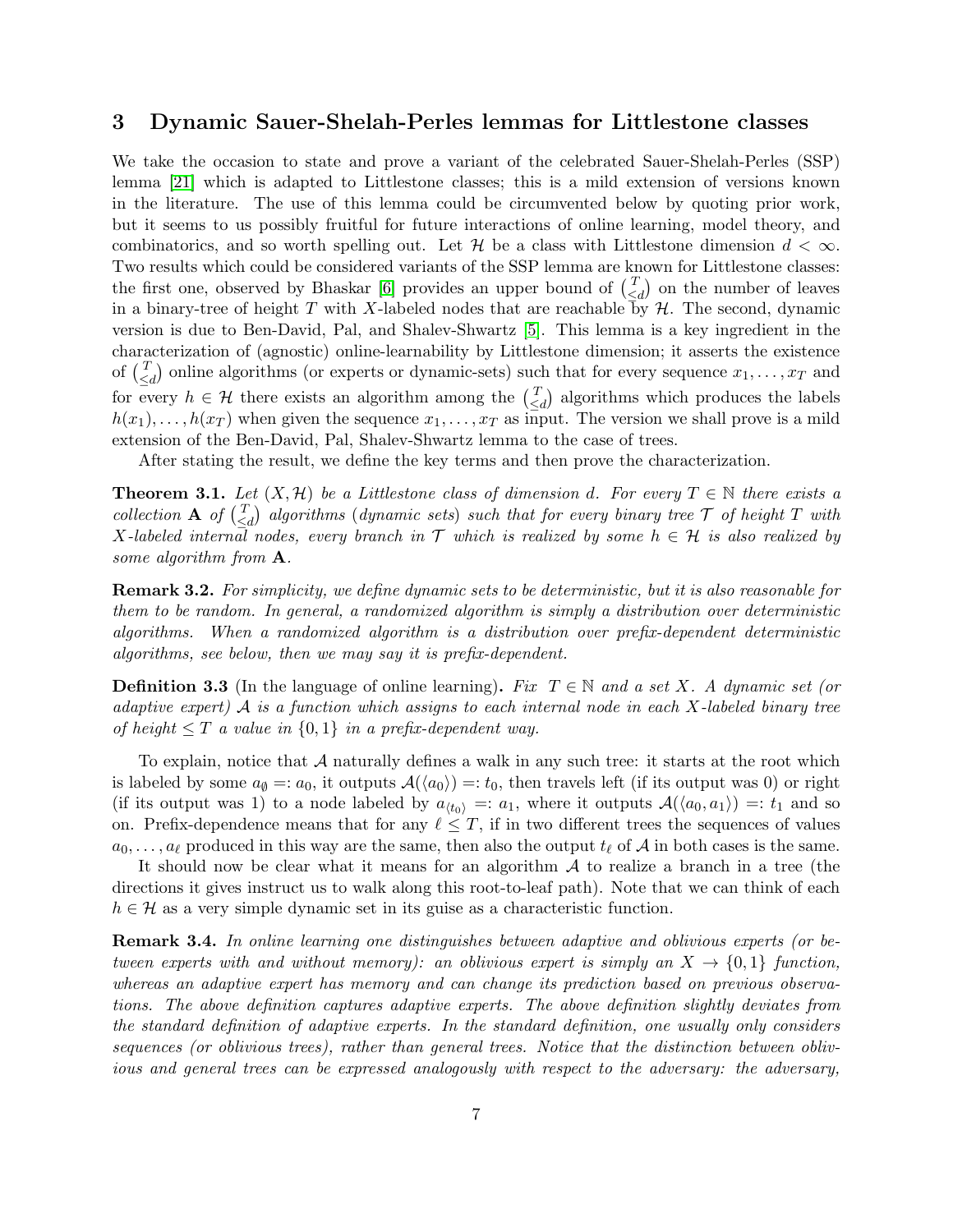# 3 Dynamic Sauer-Shelah-Perles lemmas for Littlestone classes

We take the occasion to state and prove a variant of the celebrated Sauer-Shelah-Perles (SSP) lemma [\[21\]](#page-21-8) which is adapted to Littlestone classes; this is a mild extension of versions known in the literature. The use of this lemma could be circumvented below by quoting prior work, but it seems to us possibly fruitful for future interactions of online learning, model theory, and combinatorics, and so worth spelling out. Let H be a class with Littlestone dimension  $d < \infty$ . Two results which could be considered variants of the SSP lemma are known for Littlestone classes: the first one, observed by Bhaskar [\[6\]](#page-20-9) provides an upper bound of  $\binom{7}{5}$  $\begin{pmatrix} T \\ \leq d \end{pmatrix}$  on the number of leaves in a binary-tree of height T with X-labeled nodes that are reachable by  $H$ . The second, dynamic version is due to Ben-David, Pal, and Shalev-Shwartz [\[5\]](#page-20-5). This lemma is a key ingredient in the characterization of (agnostic) online-learnability by Littlestone dimension; it asserts the existence of  $\binom{T}{\leq}$  $\begin{pmatrix} T \\ \le d \end{pmatrix}$  online algorithms (or experts or dynamic-sets) such that for every sequence  $x_1, \ldots, x_T$  and for every  $h \in \mathcal{H}$  there exists an algorithm among the  $\begin{pmatrix} T \\ \leq \end{pmatrix}$  $\begin{bmatrix} T \\ 1 \end{bmatrix}$  algorithms which produces the labels  $h(x_1), \ldots, h(x_T)$  when given the sequence  $x_1, \ldots, x_T$  as input. The version we shall prove is a mild extension of the Ben-David, Pal, Shalev-Shwartz lemma to the case of trees.

After stating the result, we define the key terms and then prove the characterization.

<span id="page-6-0"></span>**Theorem 3.1.** Let  $(X, \mathcal{H})$  be a Littlestone class of dimension d. For every  $T \in \mathbb{N}$  there exists a collection **A** of  $\begin{pmatrix} T \\ S \end{pmatrix}$  $\frac{T}{\leq d}$  algorithms (dynamic sets) such that for every binary tree  $\mathcal T$  of height  $T$  with X-labeled internal nodes, every branch in  $\mathcal T$  which is realized by some  $h \in \mathcal H$  is also realized by some algorithm from **A**.

**Remark 3.2.** For simplicity, we define dynamic sets to be deterministic, but it is also reasonable for them to be random. In general, a randomized algorithm is simply a distribution over deterministic algorithms. When a randomized algorithm is a distribution over prefix-dependent deterministic algorithms, see below, then we may say it is prefix-dependent.

**Definition 3.3** (In the language of online learning). Fix  $T \in \mathbb{N}$  and a set X. A dynamic set (or adaptive expert)  $\mathcal A$  is a function which assigns to each internal node in each X-labeled binary tree of height  $\leq T$  a value in  $\{0,1\}$  in a prefix-dependent way.

To explain, notice that  $A$  naturally defines a walk in any such tree: it starts at the root which is labeled by some  $a_{\emptyset} =: a_0$ , it outputs  $\mathcal{A}(\langle a_0 \rangle) =: t_0$ , then travels left (if its output was 0) or right (if its output was 1) to a node labeled by  $a_{\langle t_0 \rangle} =: a_1$ , where it outputs  $A(\langle a_0, a_1 \rangle) =: t_1$  and so on. Prefix-dependence means that for any  $\ell \leq T$ , if in two different trees the sequences of values  $a_0, \ldots, a_\ell$  produced in this way are the same, then also the output  $t_\ell$  of A in both cases is the same.

It should now be clear what it means for an algorithm  $A$  to realize a branch in a tree (the directions it gives instruct us to walk along this root-to-leaf path). Note that we can think of each  $h \in \mathcal{H}$  as a very simple dynamic set in its guise as a characteristic function.

Remark 3.4. In online learning one distinguishes between adaptive and oblivious experts (or between experts with and without memory): an oblivious expert is simply an  $X \to \{0,1\}$  function, whereas an adaptive expert has memory and can change its prediction based on previous observations. The above definition captures adaptive experts. The above definition slightly deviates from the standard definition of adaptive experts. In the standard definition, one usually only considers sequences (or oblivious trees), rather than general trees. Notice that the distinction between oblivious and general trees can be expressed analogously with respect to the adversary: the adversary,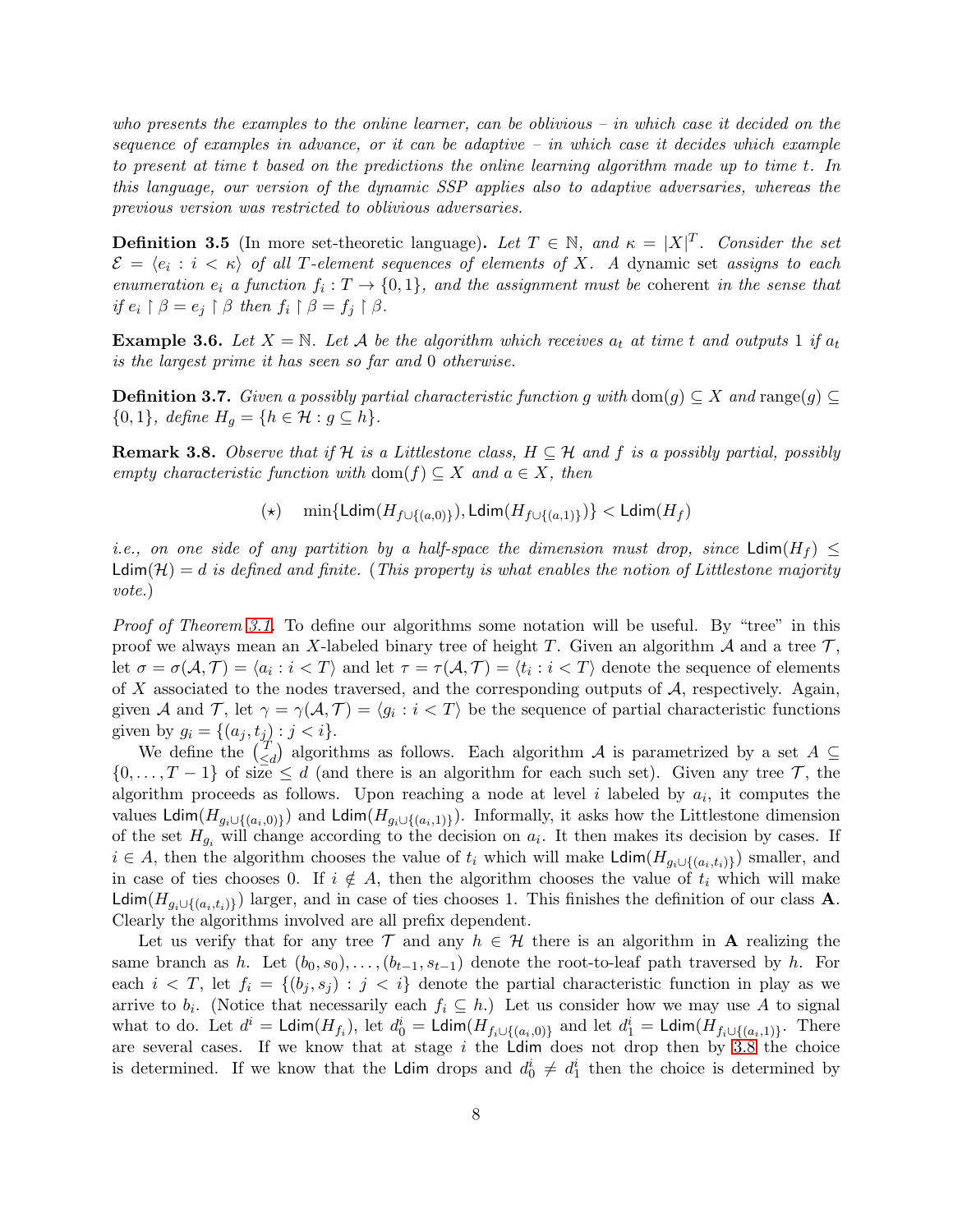who presents the examples to the online learner, can be oblivious – in which case it decided on the sequence of examples in advance, or it can be adaptive  $-$  in which case it decides which example to present at time t based on the predictions the online learning algorithm made up to time t. In this language, our version of the dynamic SSP applies also to adaptive adversaries, whereas the previous version was restricted to oblivious adversaries.

**Definition 3.5** (In more set-theoretic language). Let  $T \in \mathbb{N}$ , and  $\kappa = |X|^T$ . Consider the set  $\mathcal{E} \,=\, \langle e_i \,:\, i \,<\, \kappa \rangle$  of all T-element sequences of elements of X. A dynamic set assigns to each enumeration  $e_i$  a function  $f_i: T \to \{0,1\}$ , and the assignment must be coherent in the sense that if  $e_i \upharpoonright \beta = e_j \upharpoonright \beta$  then  $f_i \upharpoonright \beta = f_j \upharpoonright \beta$ .

**Example 3.6.** Let  $X = \mathbb{N}$ . Let A be the algorithm which receives  $a_t$  at time t and outputs 1 if  $a_t$ is the largest prime it has seen so far and 0 otherwise.

**Definition 3.7.** Given a possibly partial characteristic function g with dom(g)  $\subseteq X$  and range(g)  $\{0,1\}, \text{ define } H_g = \{h \in \mathcal{H} : g \subseteq h\}.$ 

<span id="page-7-0"></span>**Remark 3.8.** Observe that if H is a Littlestone class,  $H \subseteq H$  and f is a possibly partial, possibly empty characteristic function with dom(f)  $\subseteq X$  and  $a \in X$ , then

(★)  $\min\{\mathsf{Ldim}(H_{f\cup\{(a,0)\}}), \mathsf{Ldim}(H_{f\cup\{(a,1)\}})\} < \mathsf{Ldim}(H_f)$ 

i.e., on one side of any partition by a half-space the dimension must drop, since  $\mathsf{Ldim}(H_f)$  <  $Ldim(\mathcal{H}) = d$  is defined and finite. (This property is what enables the notion of Littlestone majority vote.)

Proof of Theorem [3.1.](#page-6-0) To define our algorithms some notation will be useful. By "tree" in this proof we always mean an X-labeled binary tree of height T. Given an algorithm  $\mathcal A$  and a tree  $\mathcal T$ , let  $\sigma = \sigma(\mathcal{A}, \mathcal{T}) = \langle a_i : i < T \rangle$  and let  $\tau = \tau(\mathcal{A}, \mathcal{T}) = \langle t_i : i < T \rangle$  denote the sequence of elements of X associated to the nodes traversed, and the corresponding outputs of  $A$ , respectively. Again, given A and T, let  $\gamma = \gamma(A, \mathcal{T}) = \langle g_i : i \langle \mathcal{T} \rangle$  be the sequence of partial characteristic functions given by  $g_i = \{(a_j, t_j) : j < i\}.$ 

We define the  $\begin{pmatrix} T \\ S \end{pmatrix}$  $\leq_d$ ) algorithms as follows. Each algorithm A is parametrized by a set  $A \subseteq$  $\{0,\ldots,T-1\}$  of size  $\leq d$  (and there is an algorithm for each such set). Given any tree T, the algorithm proceeds as follows. Upon reaching a node at level i labeled by  $a_i$ , it computes the values Ldim( $H_{g_i \cup \{(a_i,0)\}}$ ) and Ldim( $H_{g_i \cup \{(a_i,1)\}}$ ). Informally, it asks how the Littlestone dimension of the set  $H_{g_i}$  will change according to the decision on  $a_i$ . It then makes its decision by cases. If  $i \in A$ , then the algorithm chooses the value of  $t_i$  which will make Ldim $(H_{g_i \cup \{(a_i,t_i)\}})$  smaller, and in case of ties chooses 0. If  $i \notin A$ , then the algorithm chooses the value of  $t_i$  which will make Ldim( $H_{g_i \cup \{(a_i,t_i)\}}$ ) larger, and in case of ties chooses 1. This finishes the definition of our class **A**. Clearly the algorithms involved are all prefix dependent.

Let us verify that for any tree T and any  $h \in \mathcal{H}$  there is an algorithm in A realizing the same branch as h. Let  $(b_0, s_0), \ldots, (b_{t-1}, s_{t-1})$  denote the root-to-leaf path traversed by h. For each  $i < T$ , let  $f_i = \{(b_j, s_j) : j < i\}$  denote the partial characteristic function in play as we arrive to  $b_i$ . (Notice that necessarily each  $f_i \subseteq h$ .) Let us consider how we may use A to signal what to do. Let  $d^i = \text{Ldim}(H_{f_i})$ , let  $d_0^i = \text{Ldim}(H_{f_i \cup \{(a_i,0)\}})$  and let  $d_1^i = \text{Ldim}(H_{f_i \cup \{(a_i,1)\}})$ . There are several cases. If we know that at stage  $i$  the Ldim does not drop then by [3.8](#page-7-0) the choice is determined. If we know that the Ldim drops and  $d_0^i \neq d_1^i$  then the choice is determined by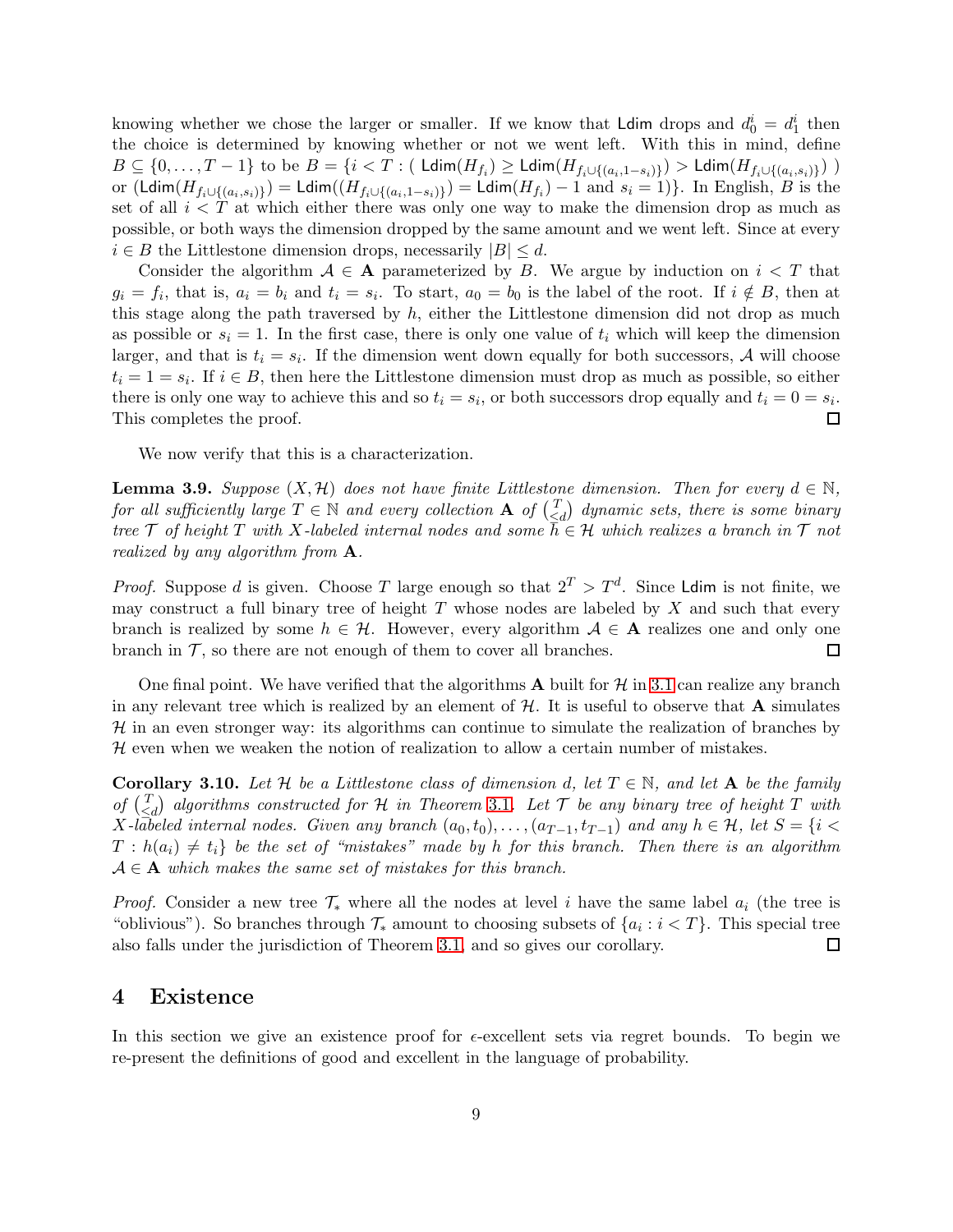knowing whether we chose the larger or smaller. If we know that **Ldim** drops and  $d_0^i = d_1^i$  then the choice is determined by knowing whether or not we went left. With this in mind, define  $B \subseteq \{0, \ldots, T-1\}$  to be  $B = \{i < T : (\text{ Ldim}(H_{f_i}) \ge \text{ Ldim}(H_{f_i \cup \{(a_i, 1-s_i)\}}) > \text{ Ldim}(H_{f_i \cup \{(a_i, s_i)\}}))\}$ or  $(\text{Ldim}(H_{f_i \cup \{(a_i,s_i)\}}) = \text{Ldim}((H_{f_i \cup \{(a_i,1-s_i)\}}) = \text{Ldim}(H_{f_i}) - 1$  and  $s_i = 1)$ . In English, B is the set of all  $i < T$  at which either there was only one way to make the dimension drop as much as possible, or both ways the dimension dropped by the same amount and we went left. Since at every  $i \in B$  the Littlestone dimension drops, necessarily  $|B| \leq d$ .

Consider the algorithm  $A \in \mathbf{A}$  parameterized by B. We argue by induction on  $i < T$  that  $g_i = f_i$ , that is,  $a_i = b_i$  and  $t_i = s_i$ . To start,  $a_0 = b_0$  is the label of the root. If  $i \notin B$ , then at this stage along the path traversed by  $h$ , either the Littlestone dimension did not drop as much as possible or  $s_i = 1$ . In the first case, there is only one value of  $t_i$  which will keep the dimension larger, and that is  $t_i = s_i$ . If the dimension went down equally for both successors, A will choose  $t_i = 1 = s_i$ . If  $i \in B$ , then here the Littlestone dimension must drop as much as possible, so either there is only one way to achieve this and so  $t_i = s_i$ , or both successors drop equally and  $t_i = 0 = s_i$ . This completes the proof.  $\Box$ 

We now verify that this is a characterization.

**Lemma 3.9.** Suppose  $(X, \mathcal{H})$  does not have finite Littlestone dimension. Then for every  $d \in \mathbb{N}$ , for all sufficiently large  $T \in \mathbb{N}$  and every collection **A** of  $\begin{pmatrix} T \\ \leq \end{pmatrix}$  $\begin{pmatrix} 1 \\ 2 \end{pmatrix}$  dynamic sets, there is some binary tree  $\mathcal T$  of height  $T$  with X-labeled internal nodes and some  $\overline{h} \in \mathcal H$  which realizes a branch in  $\mathcal T$  not realized by any algorithm from A.

*Proof.* Suppose d is given. Choose T large enough so that  $2^T > T^d$ . Since Ldim is not finite, we may construct a full binary tree of height  $T$  whose nodes are labeled by  $X$  and such that every branch is realized by some  $h \in \mathcal{H}$ . However, every algorithm  $\mathcal{A} \in \mathbf{A}$  realizes one and only one branch in  $\mathcal{T}$ , so there are not enough of them to cover all branches. branch in  $\mathcal T$ , so there are not enough of them to cover all branches.

One final point. We have verified that the algorithms  $A$  built for  $H$  in [3.1](#page-6-0) can realize any branch in any relevant tree which is realized by an element of  $H$ . It is useful to observe that **A** simulates  $H$  in an even stronger way: its algorithms can continue to simulate the realization of branches by  $H$  even when we weaken the notion of realization to allow a certain number of mistakes.

Corollary 3.10. Let H be a Littlestone class of dimension d, let  $T \in \mathbb{N}$ , and let A be the family of  $\binom{T}{\leq}$  $\begin{pmatrix} T \ \leq d \end{pmatrix}$  algorithms constructed for H in Theorem [3](#page-6-0).1. Let  $\mathcal T$  be any binary tree of height T with X-labeled internal nodes. Given any branch  $(a_0, t_0), \ldots, (a_{T-1}, t_{T-1})$  and any  $h \in \mathcal{H}$ , let  $S = \{i \leq T, j \leq T\}$  $T : h(a_i) \neq t_i$  be the set of "mistakes" made by h for this branch. Then there is an algorithm  $A \in \mathbf{A}$  which makes the same set of mistakes for this branch.

*Proof.* Consider a new tree  $\mathcal{T}_{*}$  where all the nodes at level i have the same label  $a_i$  (the tree is "oblivious"). So branches through  $\mathcal{T}_{*}$  amount to choosing subsets of  $\{a_i : i < T\}$ . This special tree also falls under the jurisdiction of Theorem [3.1,](#page-6-0) and so gives our corollary.

### 4 Existence

In this section we give an existence proof for  $\epsilon$ -excellent sets via regret bounds. To begin we re-present the definitions of good and excellent in the language of probability.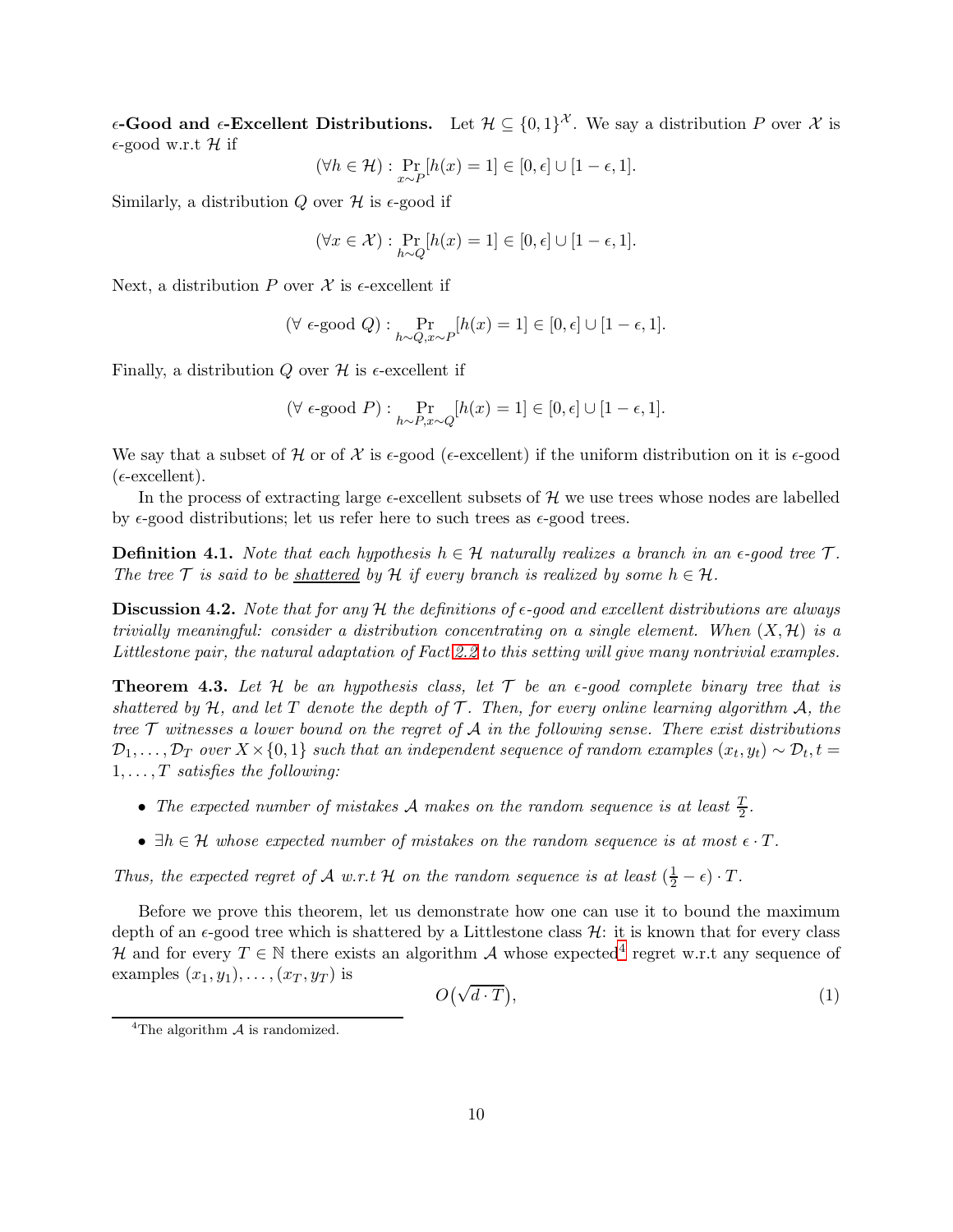$\epsilon$ -Good and  $\epsilon$ -Excellent Distributions. Let  $\mathcal{H} \subseteq \{0,1\}^{\mathcal{X}}$ . We say a distribution P over X is  $\epsilon$ -good w.r.t H if

$$
(\forall h \in \mathcal{H}) : \Pr_{x \sim P}[h(x) = 1] \in [0, \epsilon] \cup [1 - \epsilon, 1].
$$

Similarly, a distribution Q over  $\mathcal H$  is  $\epsilon$ -good if

$$
(\forall x \in \mathcal{X}) : \Pr_{h \sim Q}[h(x) = 1] \in [0, \epsilon] \cup [1 - \epsilon, 1].
$$

Next, a distribution P over  $\mathcal X$  is  $\epsilon$ -excellent if

$$
(\forall\ \epsilon\text{-good }Q) : \Pr_{h \sim Q, x \sim P}[h(x) = 1] \in [0,\epsilon] \cup [1-\epsilon,1].
$$

Finally, a distribution Q over  $\mathcal H$  is  $\epsilon$ -excellent if

$$
(\forall \epsilon\text{-good } P) : \Pr_{h \sim P, x \sim Q}[h(x) = 1] \in [0, \epsilon] \cup [1 - \epsilon, 1].
$$

We say that a subset of H or of X is  $\epsilon$ -good ( $\epsilon$ -excellent) if the uniform distribution on it is  $\epsilon$ -good  $(\epsilon$ -excellent).

In the process of extracting large  $\epsilon$ -excellent subsets of  $\mathcal H$  we use trees whose nodes are labelled by  $\epsilon$ -good distributions; let us refer here to such trees as  $\epsilon$ -good trees.

**Definition 4.1.** Note that each hypothesis  $h \in \mathcal{H}$  naturally realizes a branch in an  $\epsilon$ -good tree  $\mathcal{T}$ . The tree T is said to be shattered by H if every branch is realized by some  $h \in \mathcal{H}$ .

**Discussion 4.2.** Note that for any H the definitions of  $\epsilon$ -good and excellent distributions are always trivially meaningful: consider a distribution concentrating on a single element. When  $(X, \mathcal{H})$  is a Littlestone pair, the natural adaptation of Fact [2.2](#page-4-0) to this setting will give many nontrivial examples.

<span id="page-9-1"></span>**Theorem 4.3.** Let H be an hypothesis class, let  $\mathcal T$  be an  $\epsilon$ -good complete binary tree that is shattered by  $H$ , and let T denote the depth of T. Then, for every online learning algorithm A, the tree  $\mathcal T$  witnesses a lower bound on the regret of  $\mathcal A$  in the following sense. There exist distributions  $\mathcal{D}_1,\ldots,\mathcal{D}_T$  over  $X\times\{0,1\}$  such that an independent sequence of random examples  $(x_t,y_t)\sim\mathcal{D}_t, t=0$  $1, \ldots, T$  satisfies the following:

- The expected number of mistakes A makes on the random sequence is at least  $\frac{T}{2}$ .
- $\exists h \in \mathcal{H}$  whose expected number of mistakes on the random sequence is at most  $\epsilon \cdot T$ .

Thus, the expected regret of A w.r.t H on the random sequence is at least  $(\frac{1}{2} - \epsilon) \cdot T$ .

Before we prove this theorem, let us demonstrate how one can use it to bound the maximum depth of an  $\epsilon$ -good tree which is shattered by a Littlestone class  $\mathcal{H}$ : it is known that for every class H and for every  $T \in \mathbb{N}$  there exists an algorithm A whose expected<sup>[4](#page-9-0)</sup> regret w.r.t any sequence of examples  $(x_1, y_1), \ldots, (x_T, y_T)$  is

$$
O(\sqrt{d \cdot T}),\tag{1}
$$

<span id="page-9-0"></span><sup>&</sup>lt;sup>4</sup>The algorithm  $\mathcal A$  is randomized.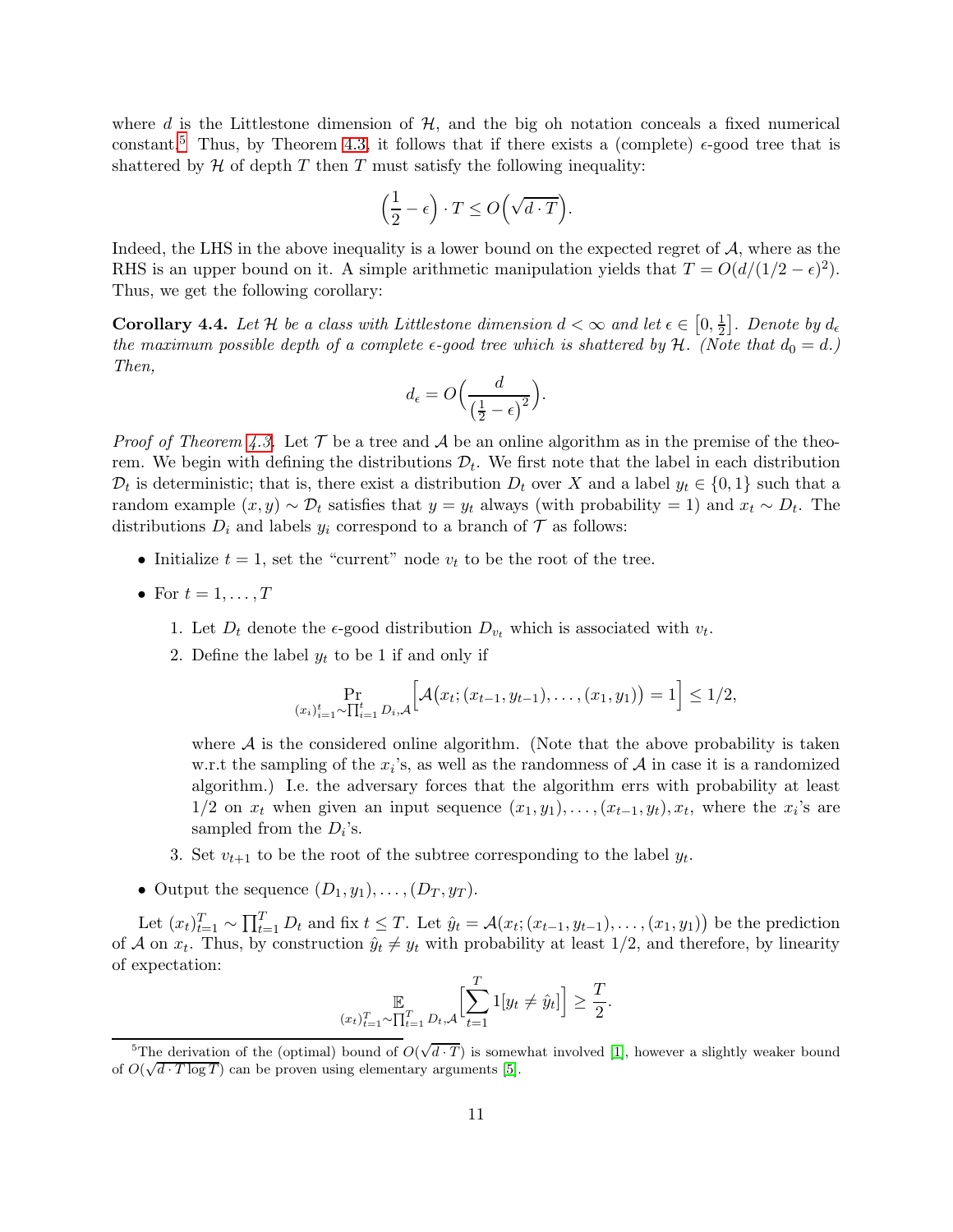where d is the Littlestone dimension of  $H$ , and the big oh notation conceals a fixed numerical constant.<sup>[5](#page-10-0)</sup> Thus, by Theorem [4.3,](#page-9-1) it follows that if there exists a (complete)  $\epsilon$ -good tree that is shattered by  $H$  of depth  $T$  then  $T$  must satisfy the following inequality:

$$
\left(\frac{1}{2} - \epsilon\right) \cdot T \le O\left(\sqrt{d \cdot T}\right).
$$

Indeed, the LHS in the above inequality is a lower bound on the expected regret of  $A$ , where as the RHS is an upper bound on it. A simple arithmetic manipulation yields that  $T = O(d/(1/2 - \epsilon)^2)$ . Thus, we get the following corollary:

<span id="page-10-1"></span>**Corollary 4.4.** Let H be a class with Littlestone dimension  $d < \infty$  and let  $\epsilon \in [0, \frac{1}{2}]$  $\frac{1}{2}$ ]. Denote by  $d_{\epsilon}$ the maximum possible depth of a complete  $\epsilon$ -good tree which is shattered by H. (Note that  $d_0 = d$ .) Then,

$$
d_{\epsilon} = O\Big(\frac{d}{\left(\frac{1}{2} - \epsilon\right)^2}\Big).
$$

*Proof of Theorem [4.3.](#page-9-1)* Let  $\mathcal T$  be a tree and  $\mathcal A$  be an online algorithm as in the premise of the theorem. We begin with defining the distributions  $\mathcal{D}_t$ . We first note that the label in each distribution  $\mathcal{D}_t$  is deterministic; that is, there exist a distribution  $D_t$  over X and a label  $y_t \in \{0,1\}$  such that a random example  $(x, y) \sim \mathcal{D}_t$  satisfies that  $y = y_t$  always (with probability = 1) and  $x_t \sim D_t$ . The distributions  $D_i$  and labels  $y_i$  correspond to a branch of  $\mathcal T$  as follows:

- Initialize  $t = 1$ , set the "current" node  $v_t$  to be the root of the tree.
- For  $t = 1, \ldots, T$ 
	- 1. Let  $D_t$  denote the  $\epsilon$ -good distribution  $D_{v_t}$  which is associated with  $v_t$ .
	- 2. Define the label  $y_t$  to be 1 if and only if

$$
\Pr_{(x_i)_{i=1}^t \sim \prod_{i=1}^t D_i, \mathcal{A}} \Big[ \mathcal{A} \big( x_t; (x_{t-1}, y_{t-1}), \dots, (x_1, y_1) \big) = 1 \Big] \leq 1/2,
$$

where  $A$  is the considered online algorithm. (Note that the above probability is taken w.r.t the sampling of the  $x_i$ 's, as well as the randomness of  $A$  in case it is a randomized algorithm.) I.e. the adversary forces that the algorithm errs with probability at least  $1/2$  on  $x_t$  when given an input sequence  $(x_1, y_1), \ldots, (x_{t-1}, y_t), x_t$ , where the  $x_i$ 's are sampled from the  $D_i$ 's.

- 3. Set  $v_{t+1}$  to be the root of the subtree corresponding to the label  $y_t$ .
- Output the sequence  $(D_1, y_1), \ldots, (D_T, y_T)$ .

Let  $(x_t)_{t=1}^T \sim \prod_{t=1}^T D_t$  and fix  $t \leq T$ . Let  $\hat{y}_t = \mathcal{A}(x_t; (x_{t-1}, y_{t-1}), \dots, (x_1, y_1))$  be the prediction of A on  $x_t$ . Thus, by construction  $\hat{y}_t \neq y_t$  with probability at least  $1/2$ , and therefore, by linearity of expectation:

$$
\mathbb{E}_{(x_t)_{t=1}^T \sim \prod_{t=1}^T D_t, \mathcal{A}} \Big[ \sum_{t=1}^T 1[y_t \neq \hat{y}_t] \Big] \ge \frac{T}{2}.
$$

<span id="page-10-0"></span><sup>&</sup>lt;sup>5</sup>The derivation of the (optimal) bound of  $O(\sqrt{d \cdot T})$  is somewhat involved [\[1\]](#page-20-6), however a slightly weaker bound of  $O(\sqrt{d \cdot T \log T})$  can be proven using elementary arguments [\[5\]](#page-20-5).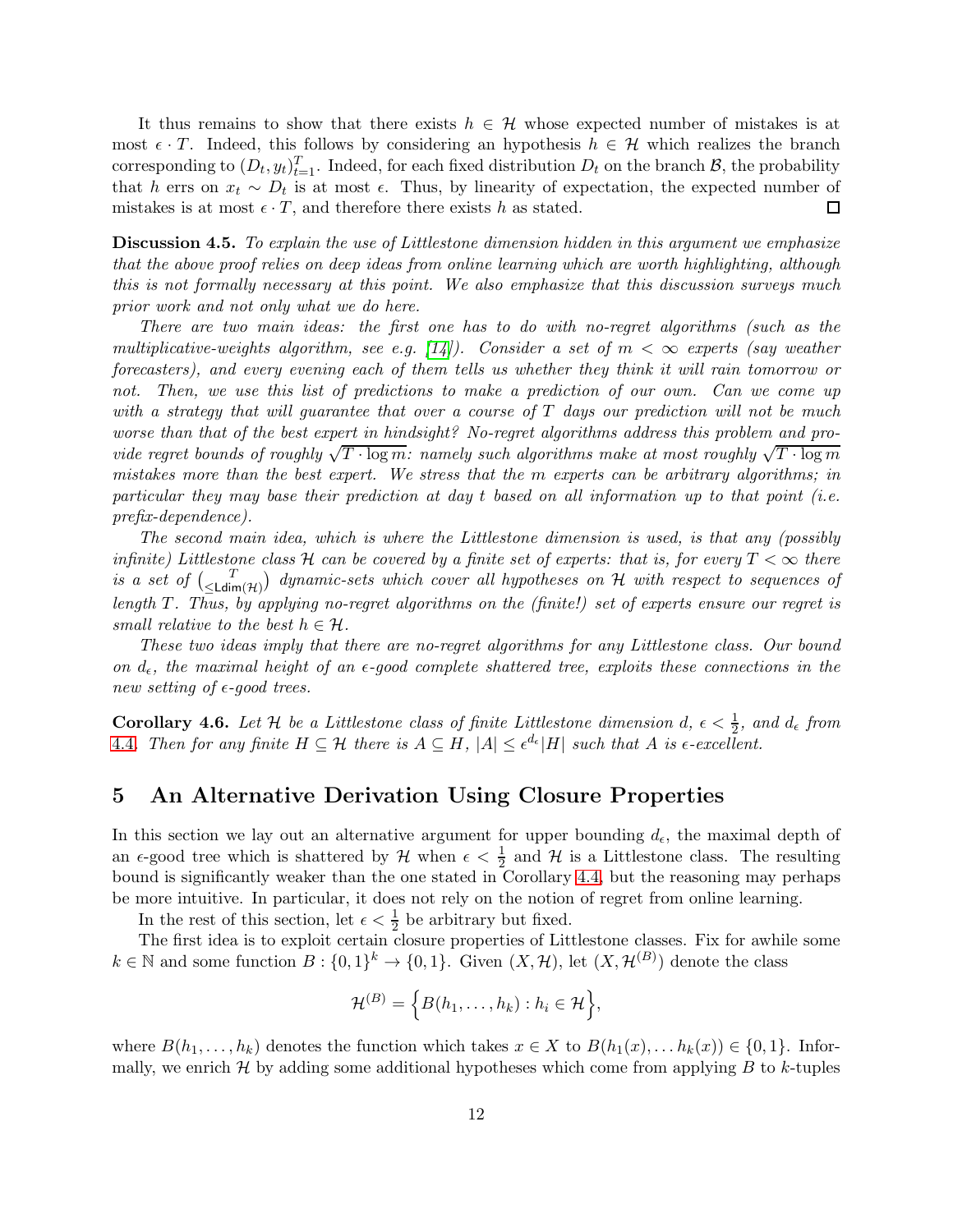It thus remains to show that there exists  $h \in \mathcal{H}$  whose expected number of mistakes is at most  $\epsilon \cdot T$ . Indeed, this follows by considering an hypothesis  $h \in \mathcal{H}$  which realizes the branch corresponding to  $(D_t, y_t)_{t=1}^T$ . Indeed, for each fixed distribution  $D_t$  on the branch  $\mathcal{B}$ , the probability that h errs on  $x_t \sim D_t$  is at most  $\epsilon$ . Thus, by linearity of expectation, the expected number of mistakes is at most  $\epsilon \cdot T$ , and therefore there exists h as stated.  $\Box$ 

Discussion 4.5. To explain the use of Littlestone dimension hidden in this argument we emphasize that the above proof relies on deep ideas from online learning which are worth highlighting, although this is not formally necessary at this point. We also emphasize that this discussion surveys much prior work and not only what we do here.

There are two main ideas: the first one has to do with no-regret algorithms (such as the multiplicative-weights algorithm, see e.g. [\[14\]](#page-20-10)). Consider a set of  $m < \infty$  experts (say weather forecasters), and every evening each of them tells us whether they think it will rain tomorrow or not. Then, we use this list of predictions to make a prediction of our own. Can we come up with a strategy that will quarantee that over a course of  $T$  days our prediction will not be much worse than that of the best expert in hindsight? No-regret algorithms address this problem and provide regret bounds of roughly  $\sqrt{T \cdot \log m}$ : namely such algorithms make at most roughly  $\sqrt{T \cdot \log m}$ mistakes more than the best expert. We stress that the m experts can be arbitrary algorithms; in particular they may base their prediction at day t based on all information up to that point (i.e. prefix-dependence).

The second main idea, which is where the Littlestone dimension is used, is that any (possibly infinite) Littlestone class H can be covered by a finite set of experts: that is, for every  $T < \infty$  there is a set of  $\binom{T}{\leq Ldim(\mathcal{H})}$  dynamic-sets which cover all hypotheses on H with respect to sequences of length T. Thus, by applying no-regret algorithms on the (finite!) set of experts ensure our regret is small relative to the best  $h \in \mathcal{H}$ .

These two ideas imply that there are no-regret algorithms for any Littlestone class. Our bound on  $d_{\epsilon}$ , the maximal height of an  $\epsilon$ -good complete shattered tree, exploits these connections in the new setting of  $\epsilon$ -good trees.

<span id="page-11-0"></span>**Corollary 4.6.** Let H be a Littlestone class of finite Littlestone dimension  $d, \epsilon < \frac{1}{2}$ , and  $d_{\epsilon}$  from [4](#page-10-1).4. Then for any finite  $H \subseteq \mathcal{H}$  there is  $A \subseteq H$ ,  $|A| \leq \epsilon^{d_{\epsilon}} |H|$  such that A is  $\epsilon$ -excellent.

## 5 An Alternative Derivation Using Closure Properties

In this section we lay out an alternative argument for upper bounding  $d_{\epsilon}$ , the maximal depth of an  $\epsilon$ -good tree which is shattered by  $\mathcal H$  when  $\epsilon < \frac{1}{2}$  and  $\mathcal H$  is a Littlestone class. The resulting bound is significantly weaker than the one stated in Corollary [4.4,](#page-10-1) but the reasoning may perhaps be more intuitive. In particular, it does not rely on the notion of regret from online learning.

In the rest of this section, let  $\epsilon < \frac{1}{2}$  be arbitrary but fixed.

The first idea is to exploit certain closure properties of Littlestone classes. Fix for awhile some  $k \in \mathbb{N}$  and some function  $B: \{0,1\}^k \to \{0,1\}$ . Given  $(X, \mathcal{H})$ , let  $(X, \mathcal{H}^{(B)})$  denote the class

$$
\mathcal{H}^{(B)} = \left\{ B(h_1, \ldots, h_k) : h_i \in \mathcal{H} \right\},\
$$

where  $B(h_1, \ldots, h_k)$  denotes the function which takes  $x \in X$  to  $B(h_1(x), \ldots, h_k(x)) \in \{0, 1\}$ . Informally, we enrich  $H$  by adding some additional hypotheses which come from applying  $B$  to k-tuples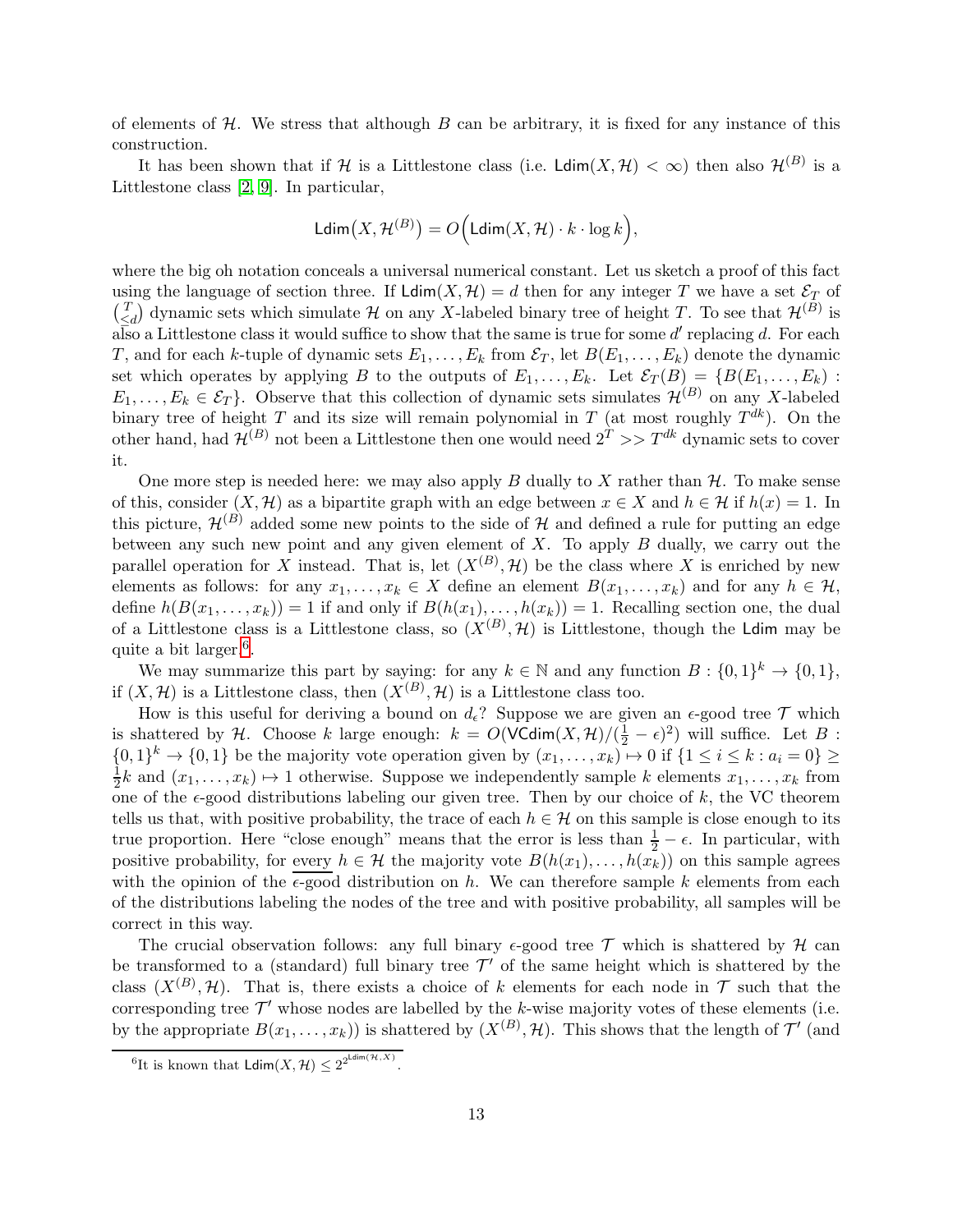of elements of  $H$ . We stress that although  $B$  can be arbitrary, it is fixed for any instance of this construction.

It has been shown that if H is a Littlestone class (i.e.  $\text{Ldim}(X,\mathcal{H}) < \infty$ ) then also  $\mathcal{H}^{(B)}$  is a Littlestone class [\[2,](#page-20-11) [9\]](#page-20-12). In particular,

$$
\mathsf{Ldim}\big(X,\mathcal{H}^{(B)}\big)=O\Big(\mathsf{Ldim}\big(X,\mathcal{H}\big)\cdot k\cdot\log k\Big),
$$

where the big oh notation conceals a universal numerical constant. Let us sketch a proof of this fact using the language of section three. If  $\text{Ldim}(X, \mathcal{H}) = d$  then for any integer T we have a set  $\mathcal{E}_T$  of  $\binom{T}{\epsilon}$  $\begin{bmatrix} T \ \le d \end{bmatrix}$  dynamic sets which simulate H on any X-labeled binary tree of height T. To see that  $\mathcal{H}^{(B)}$  is  $\overline{\text{also}}$  a Littlestone class it would suffice to show that the same is true for some  $d'$  replacing d. For each T, and for each k-tuple of dynamic sets  $E_1, \ldots, E_k$  from  $\mathcal{E}_T$ , let  $B(E_1, \ldots, E_k)$  denote the dynamic set which operates by applying B to the outputs of  $E_1, \ldots, E_k$ . Let  $\mathcal{E}_T(B) = \{B(E_1, \ldots, E_k):$  $E_1, \ldots, E_k \in \mathcal{E}_T$ . Observe that this collection of dynamic sets simulates  $\mathcal{H}^{(B)}$  on any X-labeled binary tree of height T and its size will remain polynomial in T (at most roughly  $T^{dk}$ ). On the other hand, had  $\mathcal{H}^{(B)}$  not been a Littlestone then one would need  $2^T >> T^{dk}$  dynamic sets to cover it.

One more step is needed here: we may also apply  $B$  dually to  $X$  rather than  $H$ . To make sense of this, consider  $(X, \mathcal{H})$  as a bipartite graph with an edge between  $x \in X$  and  $h \in \mathcal{H}$  if  $h(x) = 1$ . In this picture,  $\mathcal{H}^{(B)}$  added some new points to the side of H and defined a rule for putting an edge between any such new point and any given element of  $X$ . To apply  $B$  dually, we carry out the parallel operation for X instead. That is, let  $(X^{(B)}, \mathcal{H})$  be the class where X is enriched by new elements as follows: for any  $x_1, \ldots, x_k \in X$  define an element  $B(x_1, \ldots, x_k)$  and for any  $h \in \mathcal{H}$ , define  $h(B(x_1, \ldots, x_k)) = 1$  if and only if  $B(h(x_1), \ldots, h(x_k)) = 1$ . Recalling section one, the dual of a Littlestone class is a Littlestone class, so  $(X^{(B)}, \mathcal{H})$  is Littlestone, though the Ldim may be quite a bit larger.<sup>[6](#page-12-0)</sup>.

We may summarize this part by saying: for any  $k \in \mathbb{N}$  and any function  $B: \{0,1\}^k \to \{0,1\}$ , if  $(X, \mathcal{H})$  is a Littlestone class, then  $(X^{(B)}, \mathcal{H})$  is a Littlestone class too.

How is this useful for deriving a bound on  $d_{\epsilon}$ ? Suppose we are given an  $\epsilon$ -good tree  $\mathcal T$  which is shattered by H. Choose k large enough:  $k = O(\text{VCdim}(X, \mathcal{H})/(\frac{1}{2} - \epsilon)^2)$  will suffice. Let B:  $\{0,1\}^k \to \{0,1\}$  be the majority vote operation given by  $(x_1,\ldots,x_k) \to 0$  if  $\{1 \le i \le k : a_i = 0\} \ge 0$ 1  $\frac{1}{2}k$  and  $(x_1, \ldots, x_k) \mapsto 1$  otherwise. Suppose we independently sample k elements  $x_1, \ldots, x_k$  from one of the  $\epsilon$ -good distributions labeling our given tree. Then by our choice of k, the VC theorem tells us that, with positive probability, the trace of each  $h \in \mathcal{H}$  on this sample is close enough to its true proportion. Here "close enough" means that the error is less than  $\frac{1}{2} - \epsilon$ . In particular, with positive probability, for every  $h \in \mathcal{H}$  the majority vote  $B(h(x_1), \ldots, h(x_k))$  on this sample agrees with the opinion of the  $\epsilon$ -good distribution on h. We can therefore sample k elements from each of the distributions labeling the nodes of the tree and with positive probability, all samples will be correct in this way.

The crucial observation follows: any full binary  $\epsilon$ -good tree T which is shattered by H can be transformed to a (standard) full binary tree  $\mathcal{T}'$  of the same height which is shattered by the class  $(X^{(B)}, \mathcal{H})$ . That is, there exists a choice of k elements for each node in  $\mathcal{T}$  such that the corresponding tree  $\mathcal{T}'$  whose nodes are labelled by the k-wise majority votes of these elements (i.e. by the appropriate  $B(x_1,...,x_k)$  is shattered by  $(X^{(B)}, \mathcal{H})$ . This shows that the length of  $\mathcal{T}'$  (and

<span id="page-12-0"></span><sup>&</sup>lt;sup>6</sup>It is known that  $\mathsf{Ldim}(X, \mathcal{H}) \leq 2^{2^{\mathsf{Ldim}(\mathcal{H}, X)}}$ .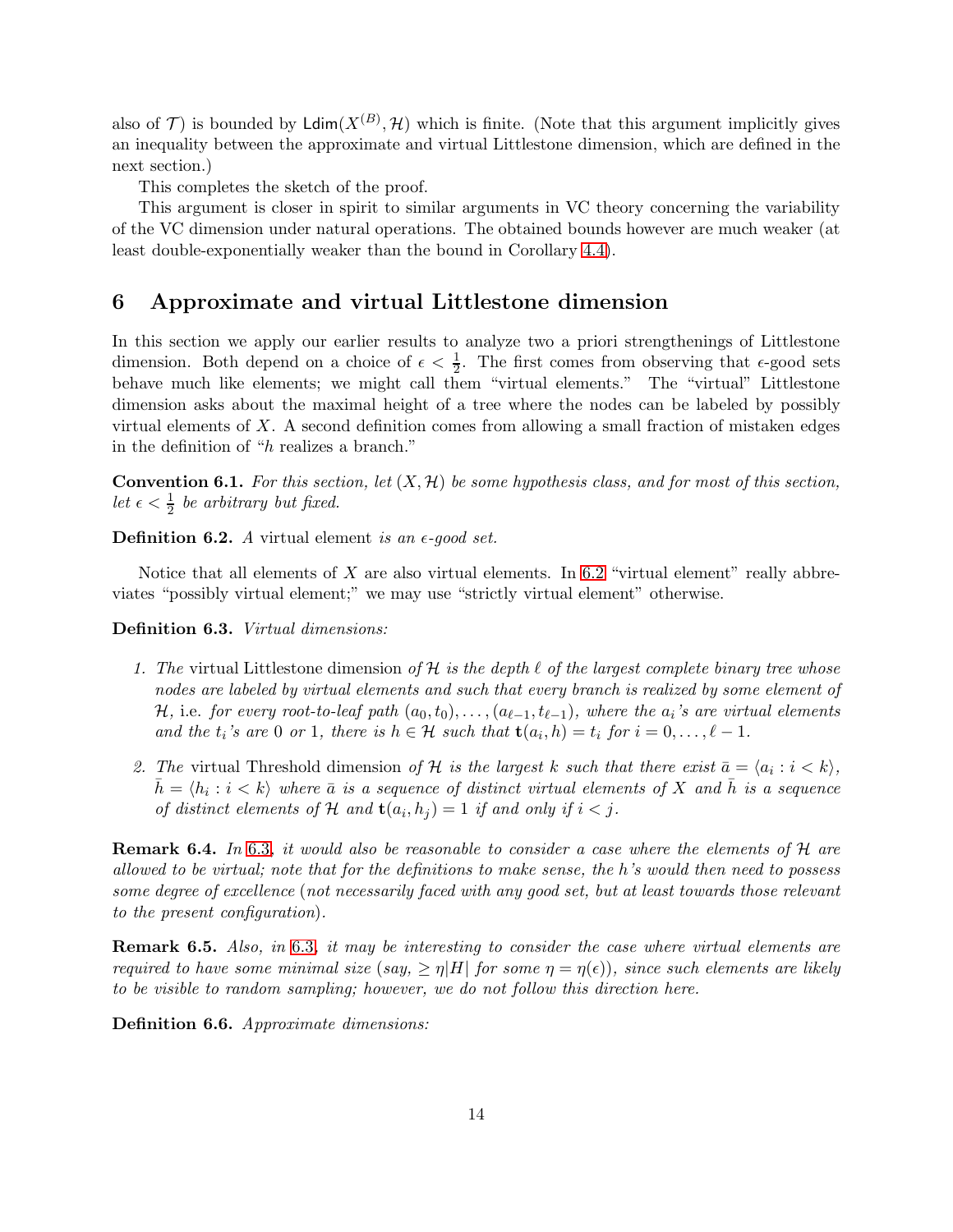also of  $\mathcal{T})$  is bounded by  $\mathsf{Ldim}(X^{(B)}, \mathcal{H})$  which is finite. (Note that this argument implicitly gives an inequality between the approximate and virtual Littlestone dimension, which are defined in the next section.)

This completes the sketch of the proof.

This argument is closer in spirit to similar arguments in VC theory concerning the variability of the VC dimension under natural operations. The obtained bounds however are much weaker (at least double-exponentially weaker than the bound in Corollary [4.4\)](#page-10-1).

# 6 Approximate and virtual Littlestone dimension

In this section we apply our earlier results to analyze two a priori strengthenings of Littlestone dimension. Both depend on a choice of  $\epsilon < \frac{1}{2}$ . The first comes from observing that  $\epsilon$ -good sets behave much like elements; we might call them "virtual elements." The "virtual" Littlestone dimension asks about the maximal height of a tree where the nodes can be labeled by possibly virtual elements of  $X$ . A second definition comes from allowing a small fraction of mistaken edges in the definition of "h realizes a branch."

**Convention 6.1.** For this section, let  $(X, \mathcal{H})$  be some hypothesis class, and for most of this section, let  $\epsilon < \frac{1}{2}$  be arbitrary but fixed.

<span id="page-13-0"></span>**Definition 6.2.** A virtual element is an  $\epsilon$ -good set.

Notice that all elements of  $X$  are also virtual elements. In [6.2](#page-13-0) "virtual element" really abbreviates "possibly virtual element;" we may use "strictly virtual element" otherwise.

<span id="page-13-1"></span>Definition 6.3. Virtual dimensions:

- 1. The virtual Littlestone dimension of H is the depth  $\ell$  of the largest complete binary tree whose nodes are labeled by virtual elements and such that every branch is realized by some element of H, i.e. for every root-to-leaf path  $(a_0, t_0), \ldots, (a_{\ell-1}, t_{\ell-1}),$  where the  $a_i$ 's are virtual elements and the  $t_i$ 's are 0 or 1, there is  $h \in \mathcal{H}$  such that  $\mathbf{t}(a_i, h) = t_i$  for  $i = 0, \ldots, \ell - 1$ .
- 2. The virtual Threshold dimension of H is the largest k such that there exist  $\bar{a} = \langle a_i : i < k \rangle$ ,  $\bar{h} = \langle h_i : i < k \rangle$  where  $\bar{a}$  is a sequence of distinct virtual elements of X and  $\bar{h}$  is a sequence of distinct elements of  $\mathcal H$  and  $\mathbf t(a_i, h_j) = 1$  if and only if  $i < j$ .

**Remark [6](#page-13-1).4.** In 6.3, it would also be reasonable to consider a case where the elements of  $H$  are allowed to be virtual; note that for the definitions to make sense, the h's would then need to possess some degree of excellence (not necessarily faced with any good set, but at least towards those relevant to the present configuration).

**Remark [6](#page-13-1).5.** Also, in 6.3, it may be interesting to consider the case where virtual elements are required to have some minimal size (say,  $\geq \eta |H|$  for some  $\eta = \eta(\epsilon)$ ), since such elements are likely to be visible to random sampling; however, we do not follow this direction here.

<span id="page-13-2"></span>Definition 6.6. Approximate dimensions: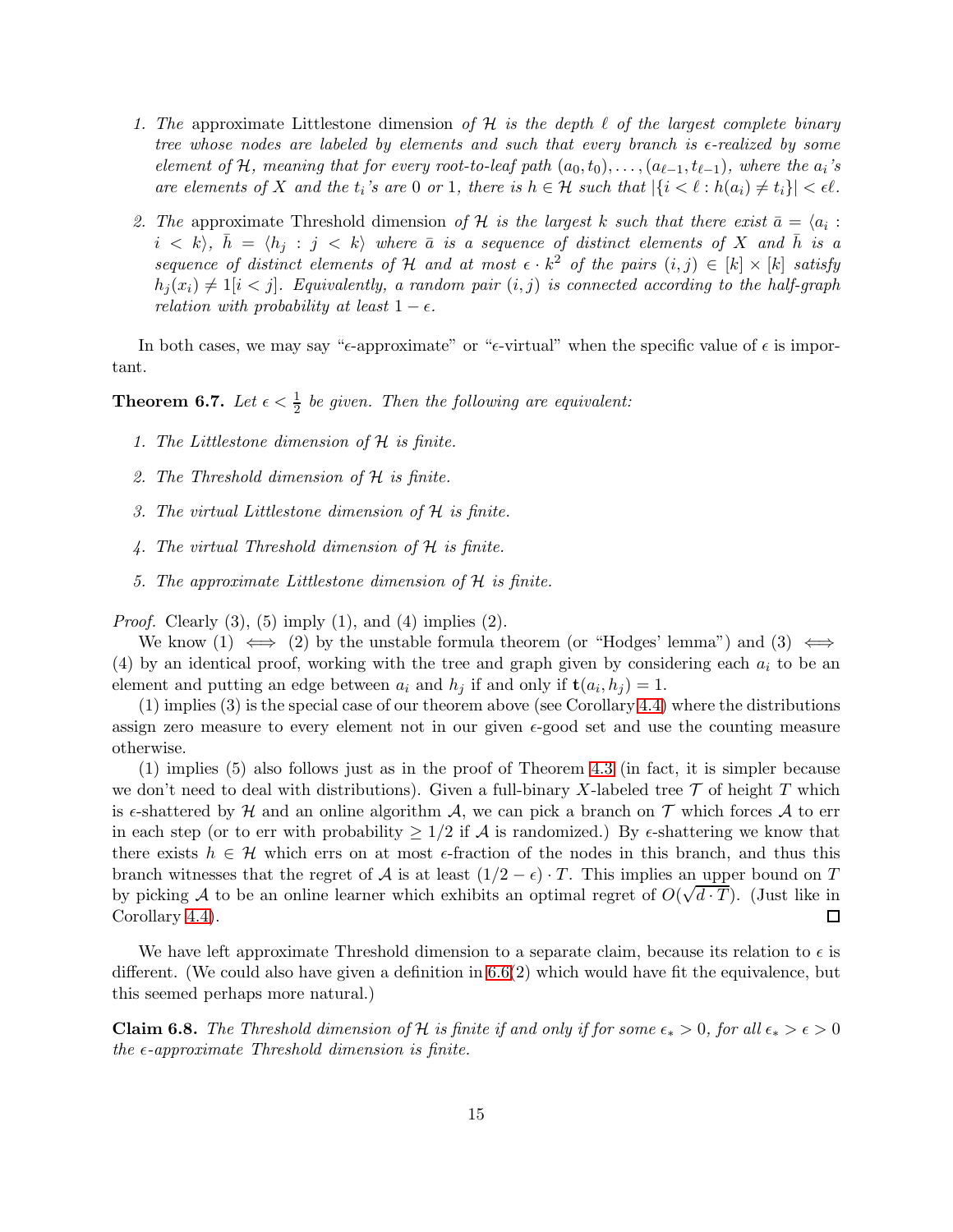- 1. The approximate Littlestone dimension of H is the depth  $\ell$  of the largest complete binary tree whose nodes are labeled by elements and such that every branch is  $\epsilon$ -realized by some element of H, meaning that for every root-to-leaf path  $(a_0, t_0), \ldots, (a_{\ell-1}, t_{\ell-1})$ , where the  $a_i$ 's are elements of X and the  $t_i$ 's are 0 or 1, there is  $h \in \mathcal{H}$  such that  $|\{i \leq \ell : h(a_i) \neq t_i\}| < \epsilon \ell$ .
- 2. The approximate Threshold dimension of H is the largest k such that there exist  $\bar{a} = \langle a_i : A_i \rangle$  $i < k$ ,  $\bar{h} = \langle h_i : j < k \rangle$  where  $\bar{a}$  is a sequence of distinct elements of X and  $\bar{h}$  is a sequence of distinct elements of H and at most  $\epsilon \cdot k^2$  of the pairs  $(i, j) \in [k] \times [k]$  satisfy  $h_i(x_i) \neq 1[i \lt j]$ . Equivalently, a random pair  $(i, j)$  is connected according to the half-graph relation with probability at least  $1 - \epsilon$ .

In both cases, we may say " $\epsilon$ -approximate" or " $\epsilon$ -virtual" when the specific value of  $\epsilon$  is important.

**Theorem 6.7.** Let  $\epsilon < \frac{1}{2}$  be given. Then the following are equivalent:

- 1. The Littlestone dimension of H is finite.
- 2. The Threshold dimension of H is finite.
- 3. The virtual Littlestone dimension of H is finite.
- 4. The virtual Threshold dimension of H is finite.
- 5. The approximate Littlestone dimension of H is finite.

*Proof.* Clearly  $(3)$ ,  $(5)$  imply  $(1)$ , and  $(4)$  implies  $(2)$ .

We know (1)  $\iff$  (2) by the unstable formula theorem (or "Hodges' lemma") and (3)  $\iff$ (4) by an identical proof, working with the tree and graph given by considering each  $a_i$  to be an element and putting an edge between  $a_i$  and  $h_j$  if and only if  $\mathbf{t}(a_i, h_j) = 1$ .

(1) implies (3) is the special case of our theorem above (see Corollary [4.4\)](#page-10-1) where the distributions assign zero measure to every element not in our given  $\epsilon$ -good set and use the counting measure otherwise.

(1) implies (5) also follows just as in the proof of Theorem [4.3](#page-9-1) (in fact, it is simpler because we don't need to deal with distributions). Given a full-binary X-labeled tree  $\mathcal T$  of height T which is  $\epsilon$ -shattered by H and an online algorithm A, we can pick a branch on T which forces A to err in each step (or to err with probability  $\geq 1/2$  if A is randomized.) By  $\epsilon$ -shattering we know that there exists  $h \in \mathcal{H}$  which errs on at most  $\epsilon$ -fraction of the nodes in this branch, and thus this branch witnesses that the regret of A is at least  $(1/2 - \epsilon) \cdot T$ . This implies an upper bound on T by picking A to be an online learner which exhibits an optimal regret of  $O(\sqrt{d \cdot T})$ . (Just like in Corollary [4.4\)](#page-10-1).

We have left approximate Threshold dimension to a separate claim, because its relation to  $\epsilon$  is different. (We could also have given a definition in [6.6\(](#page-13-2)2) which would have fit the equivalence, but this seemed perhaps more natural.)

**Claim 6.8.** The Threshold dimension of H is finite if and only if for some  $\epsilon_* > 0$ , for all  $\epsilon_* > \epsilon > 0$ the  $\epsilon$ -approximate Threshold dimension is finite.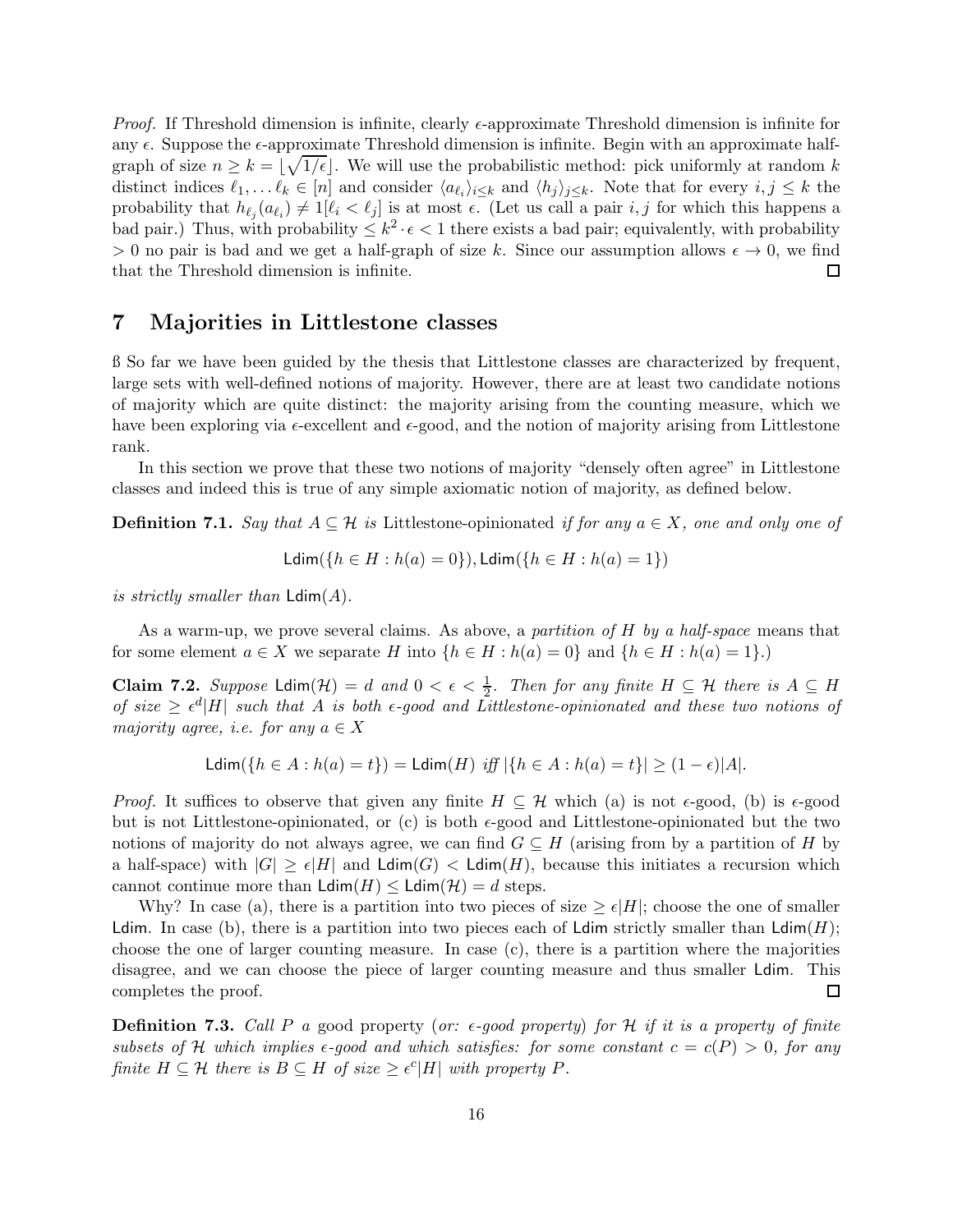*Proof.* If Threshold dimension is infinite, clearly  $\epsilon$ -approximate Threshold dimension is infinite for any  $\epsilon$ . Suppose the  $\epsilon$ -approximate Threshold dimension is infinite. Begin with an approximate halfgraph of size  $n \geq k = \lfloor \sqrt{1/\epsilon} \rfloor$ . We will use the probabilistic method: pick uniformly at random k distinct indices  $\ell_1, \ldots \ell_k \in [n]$  and consider  $\langle a_{\ell_i} \rangle_{i \leq k}$  and  $\langle h_j \rangle_{j \leq k}$ . Note that for every  $i, j \leq k$  the probability that  $h_{\ell_j}(a_{\ell_i}) \neq 1[\ell_i < \ell_j]$  is at most  $\epsilon$ . (Let us call a pair  $i, j$  for which this happens a bad pair.) Thus, with probability  $\leq k^2 \cdot \epsilon < 1$  there exists a bad pair; equivalently, with probability > 0 no pair is bad and we get a half-graph of size k. Since our assumption allows  $\epsilon \to 0$ , we find that the Threshold dimension is infinite. that the Threshold dimension is infinite.

## 7 Majorities in Littlestone classes

ß So far we have been guided by the thesis that Littlestone classes are characterized by frequent, large sets with well-defined notions of majority. However, there are at least two candidate notions of majority which are quite distinct: the majority arising from the counting measure, which we have been exploring via  $\epsilon$ -excellent and  $\epsilon$ -good, and the notion of majority arising from Littlestone rank.

In this section we prove that these two notions of majority "densely often agree" in Littlestone classes and indeed this is true of any simple axiomatic notion of majority, as defined below.

**Definition 7.1.** Say that  $A \subseteq \mathcal{H}$  is Littlestone-opinionated if for any  $a \in X$ , one and only one of

$$
\mathsf{Ldim}(\{h\in H: h(a)=0\}),\mathsf{Ldim}(\{h\in H: h(a)=1\})
$$

is strictly smaller than  $\text{Ldim}(A)$ .

As a warm-up, we prove several claims. As above, a partition of H by a half-space means that for some element  $a \in X$  we separate H into  $\{h \in H : h(a) = 0\}$  and  $\{h \in H : h(a) = 1\}$ .

Claim 7.2. Suppose  $\text{Ldim}(\mathcal{H}) = d$  and  $0 < \epsilon < \frac{1}{2}$ . Then for any finite  $H \subseteq \mathcal{H}$  there is  $A \subseteq H$ of size  $\geq \epsilon^d |H|$  such that A is both  $\epsilon$ -good and Littlestone-opinionated and these two notions of majority agree, i.e. for any  $a \in X$ 

$$
\mathsf{Ldim}(\{h\in A: h(a)=t\})=\mathsf{Ldim}(H)\text{ iff }|\{h\in A: h(a)=t\}|\geq (1-\epsilon)|A|.
$$

*Proof.* It suffices to observe that given any finite  $H \subseteq \mathcal{H}$  which (a) is not  $\epsilon$ -good, (b) is  $\epsilon$ -good but is not Littlestone-opinionated, or (c) is both  $\epsilon$ -good and Littlestone-opinionated but the two notions of majority do not always agree, we can find  $G \subseteq H$  (arising from by a partition of H by a half-space) with  $|G| \ge \epsilon |H|$  and  $\text{Ldim}(G) < \text{Ldim}(H)$ , because this initiates a recursion which cannot continue more than  $\text{Ldim}(H) \leq \text{Ldim}(\mathcal{H}) = d$  steps.

Why? In case (a), there is a partition into two pieces of size  $\geq \epsilon |H|$ ; choose the one of smaller Ldim. In case (b), there is a partition into two pieces each of Ldim strictly smaller than  $Ldim(H)$ ; choose the one of larger counting measure. In case (c), there is a partition where the majorities disagree, and we can choose the piece of larger counting measure and thus smaller Ldim. This completes the proof.  $\Box$ 

**Definition 7.3.** Call P a good property (or:  $\epsilon$ -good property) for H if it is a property of finite subsets of H which implies  $\epsilon$ -good and which satisfies: for some constant  $c = c(P) > 0$ , for any finite  $H \subseteq \mathcal{H}$  there is  $B \subseteq H$  of size  $\geq \epsilon^c |H|$  with property P.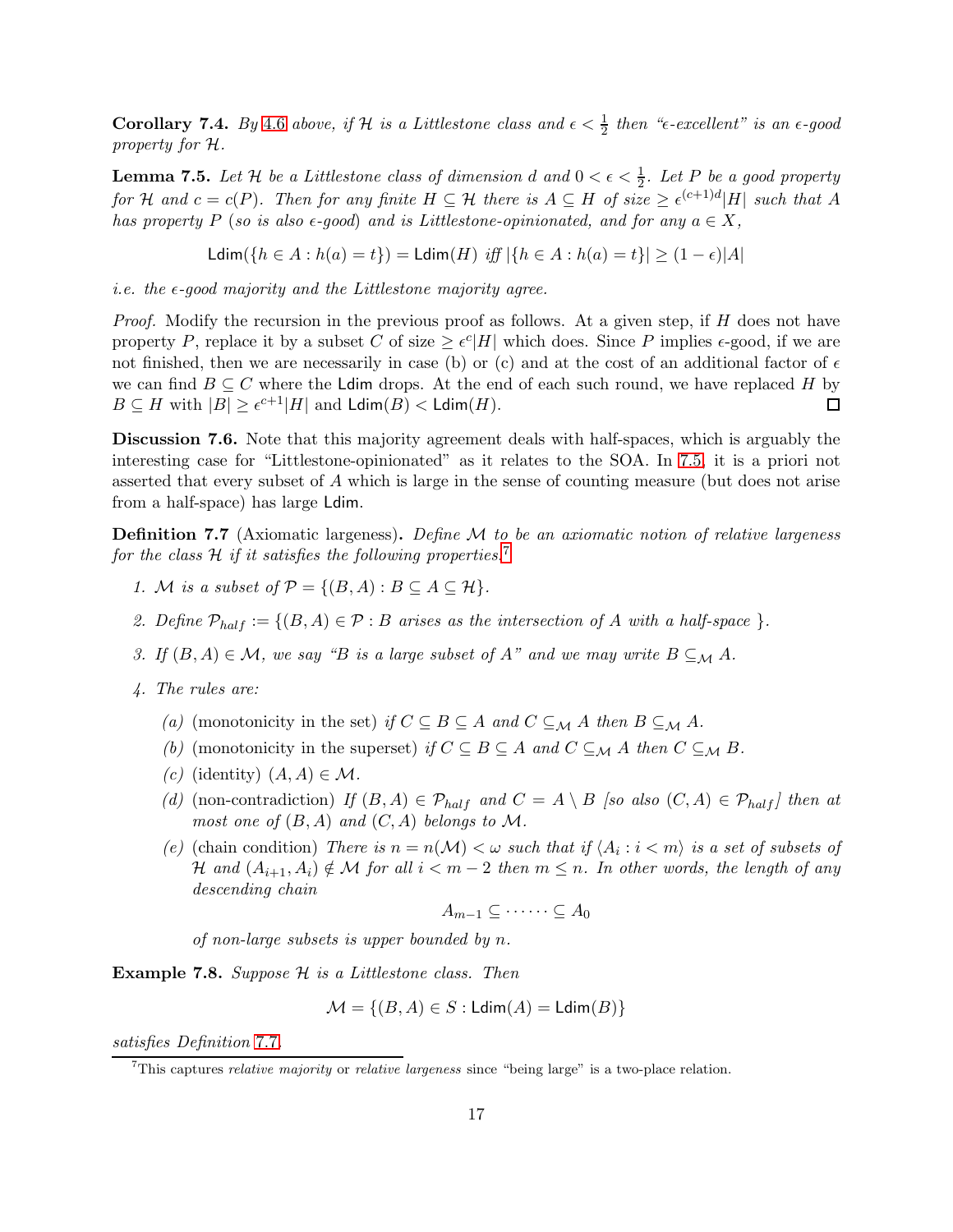**Corollary 7.[4](#page-11-0).** By 4.6 above, if H is a Littlestone class and  $\epsilon < \frac{1}{2}$  then " $\epsilon$ -excellent" is an  $\epsilon$ -good property for H.

<span id="page-16-0"></span>**Lemma 7.5.** Let H be a Littlestone class of dimension d and  $0 < \epsilon < \frac{1}{2}$ . Let P be a good property for H and  $c = c(P)$ . Then for any finite  $H \subseteq H$  there is  $A \subseteq H$  of size  $\geq \epsilon^{(c+1)d} |H|$  such that A has property P (so is also  $\epsilon$ -good) and is Littlestone-opinionated, and for any  $a \in X$ ,

Ldim({ $h \in A : h(a) = t$ }) = Ldim(H) iff  $|\{h \in A : h(a) = t\}| > (1 - \epsilon)|A|$ 

i.e. the  $\epsilon$ -good majority and the Littlestone majority agree.

Proof. Modify the recursion in the previous proof as follows. At a given step, if H does not have property P, replace it by a subset C of size  $\geq \epsilon^c |H|$  which does. Since P implies  $\epsilon$ -good, if we are not finished, then we are necessarily in case (b) or (c) and at the cost of an additional factor of  $\epsilon$ we can find  $B \subseteq C$  where the **Ldim** drops. At the end of each such round, we have replaced H by  $B \subseteq H$  with  $|B| > \epsilon^{c+1}|H|$  and **Ldim** $(B) <$  **Ldim** $(H)$ .  $B \subseteq H$  with  $|B| \ge \epsilon^{c+1}|H|$  and  $\mathsf{Ldim}(B) < \mathsf{Ldim}(H)$ .

Discussion 7.6. Note that this majority agreement deals with half-spaces, which is arguably the interesting case for "Littlestone-opinionated" as it relates to the SOA. In [7.5,](#page-16-0) it is a priori not asserted that every subset of A which is large in the sense of counting measure (but does not arise from a half-space) has large Ldim.

<span id="page-16-2"></span>**Definition 7.7** (Axiomatic largeness). Define  $M$  to be an axiomatic notion of relative largeness for the class  $H$  if it satisfies the following properties.<sup>[7](#page-16-1)</sup>

- 1. M is a subset of  $\mathcal{P} = \{(B, A) : B \subset A \subset \mathcal{H}\}.$
- 2. Define  $\mathcal{P}_{half} := \{(B, A) \in \mathcal{P} : B \text{ arises as the intersection of } A \text{ with a half-space } \}.$
- 3. If  $(B, A) \in \mathcal{M}$ , we say "B is a large subset of A" and we may write  $B \subseteq_M A$ .
- 4. The rules are:
	- (a) (monotonicity in the set) if  $C \subseteq B \subseteq A$  and  $C \subseteq_M A$  then  $B \subseteq_M A$ .
	- (b) (monotonicity in the superset) if  $C \subseteq B \subseteq A$  and  $C \subseteq_M A$  then  $C \subseteq_M B$ .
	- (c) (identity)  $(A, A) \in \mathcal{M}$ .
	- (d) (non-contradiction) If  $(B, A) \in \mathcal{P}_{half}$  and  $C = A \setminus B$  [so also  $(C, A) \in \mathcal{P}_{half}$ ] then at most one of  $(B, A)$  and  $(C, A)$  belongs to M.
	- (e) (chain condition) There is  $n = n(\mathcal{M}) < \omega$  such that if  $\langle A_i : i < m \rangle$  is a set of subsets of H and  $(A_{i+1}, A_i) \notin \mathcal{M}$  for all  $i < m-2$  then  $m \leq n$ . In other words, the length of any descending chain

$$
A_{m-1}\subseteq \cdots \cdots \subseteq A_0
$$

of non-large subsets is upper bounded by n.

<span id="page-16-3"></span>**Example 7.8.** Suppose  $H$  is a Littlestone class. Then

$$
\mathcal{M} = \{(B,A) \in S : \mathsf{Ldim}(A) = \mathsf{Ldim}(B)\}
$$

satisfies Definition [7](#page-16-2).7.

<span id="page-16-1"></span> $7$ This captures *relative majority* or *relative largeness* since "being large" is a two-place relation.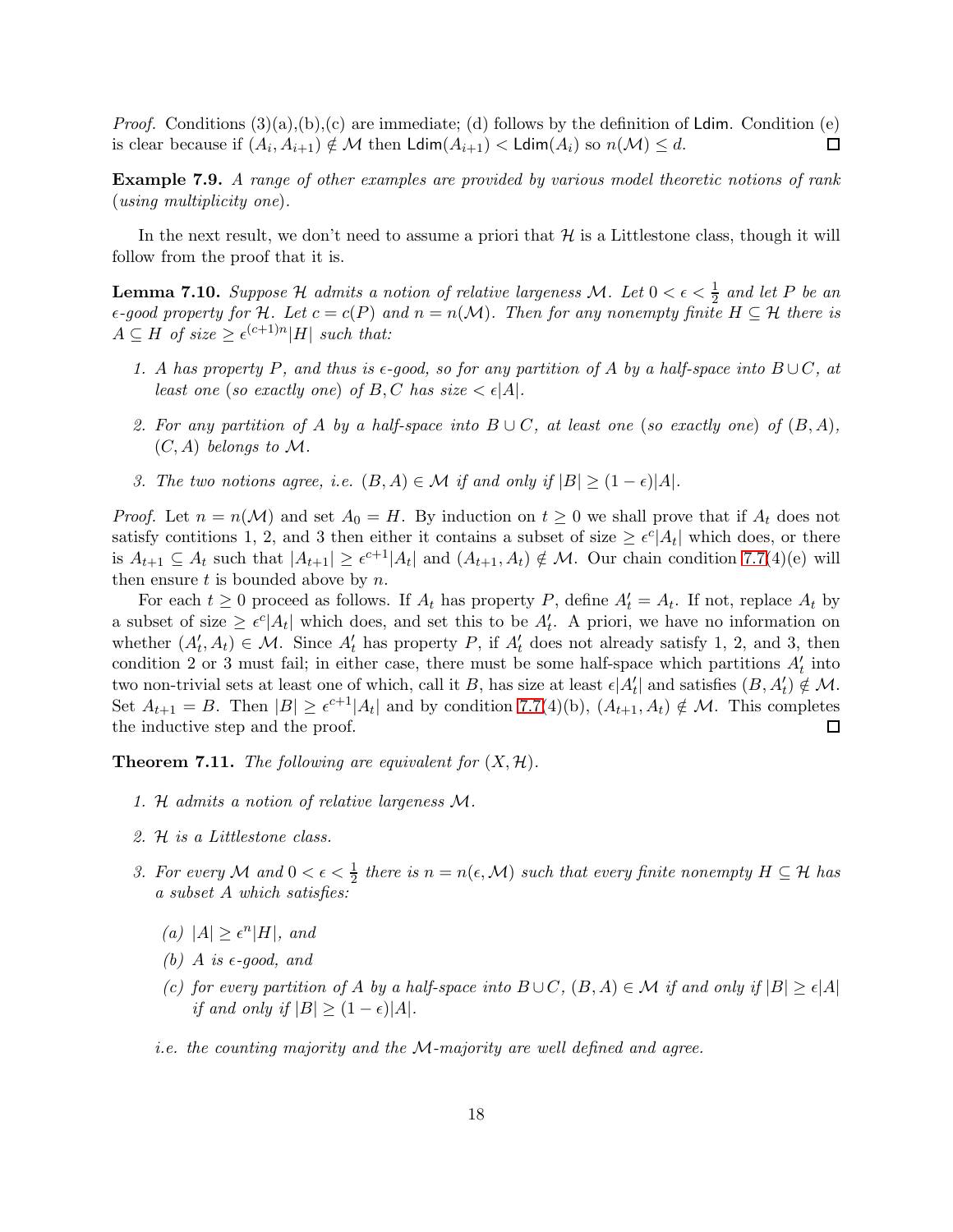*Proof.* Conditions  $(3)(a),(b),(c)$  are immediate; (d) follows by the definition of Ldim. Condition (e) is clear because if  $(A_i, A_{i+1}) \notin \mathcal{M}$  then  $\mathsf{Ldim}(A_{i+1}) < \mathsf{Ldim}(A_i)$  so  $n(\mathcal{M}) \leq d$ .  $\Box$ 

Example 7.9. A range of other examples are provided by various model theoretic notions of rank (using multiplicity one).

In the next result, we don't need to assume a priori that  $H$  is a Littlestone class, though it will follow from the proof that it is.

<span id="page-17-0"></span>**Lemma 7.10.** Suppose H admits a notion of relative largeness M. Let  $0 < \epsilon < \frac{1}{2}$  and let P be an  $\epsilon$ -good property for H. Let  $c = c(P)$  and  $n = n(\mathcal{M})$ . Then for any nonempty finite  $H \subseteq \mathcal{H}$  there is  $A \subseteq H$  of size  $\geq \epsilon^{(c+1)n}|H|$  such that:

- 1. A has property P, and thus is  $\epsilon$ -good, so for any partition of A by a half-space into  $B\cup C$ , at least one (so exactly one) of B, C has size  $\lt \epsilon |A|$ .
- 2. For any partition of A by a half-space into  $B\cup C$ , at least one (so exactly one) of  $(B, A)$ ,  $(C, A)$  belongs to M.
- 3. The two notions agree, i.e.  $(B, A) \in \mathcal{M}$  if and only if  $|B| \geq (1 \epsilon)|A|$ .

*Proof.* Let  $n = n(\mathcal{M})$  and set  $A_0 = H$ . By induction on  $t \geq 0$  we shall prove that if  $A_t$  does not satisfy contitions 1, 2, and 3 then either it contains a subset of size  $\geq \epsilon^c |A_t|$  which does, or there is  $A_{t+1} \subseteq A_t$  such that  $|A_{t+1}| \geq \epsilon^{c+1} |A_t|$  and  $(A_{t+1}, A_t) \notin \mathcal{M}$ . Our chain condition [7.7\(](#page-16-2)4)(e) will then ensure  $t$  is bounded above by  $n$ .

For each  $t \geq 0$  proceed as follows. If  $A_t$  has property P, define  $A'_t = A_t$ . If not, replace  $A_t$  by a subset of size  $\geq \epsilon^c |A_t|$  which does, and set this to be  $A'_t$ . A priori, we have no information on whether  $(A'_t, A_t) \in \mathcal{M}$ . Since  $A'_t$  has property P, if  $A'_t$  does not already satisfy 1, 2, and 3, then condition 2 or 3 must fail; in either case, there must be some half-space which partitions  $A'_t$  into two non-trivial sets at least one of which, call it B, has size at least  $\epsilon | A'_t |$  and satisfies  $(B, A'_t) \notin \mathcal{M}$ . Set  $A_{t+1} = B$ . Then  $|B| \geq \epsilon^{c+1} |A_t|$  and by condition [7.7\(](#page-16-2)4)(b),  $(A_{t+1}, A_t) \notin \mathcal{M}$ . This completes the inductive step and the proof.

**Theorem 7.11.** The following are equivalent for  $(X, \mathcal{H})$ .

- 1. H admits a notion of relative largeness M.
- 2. H is a Littlestone class.
- 3. For every M and  $0 < \epsilon < \frac{1}{2}$  there is  $n = n(\epsilon, \mathcal{M})$  such that every finite nonempty  $H \subseteq \mathcal{H}$  has a subset A which satisfies:
	- (a)  $|A| \geq \epsilon^n |H|$ , and
	- (b) A is  $\epsilon$ -good, and
	- (c) for every partition of A by a half-space into  $B\cup C$ ,  $(B, A) \in \mathcal{M}$  if and only if  $|B| \geq \epsilon |A|$ if and only if  $|B| \geq (1 - \epsilon)|A|$ .
	- i.e. the counting majority and the M-majority are well defined and agree.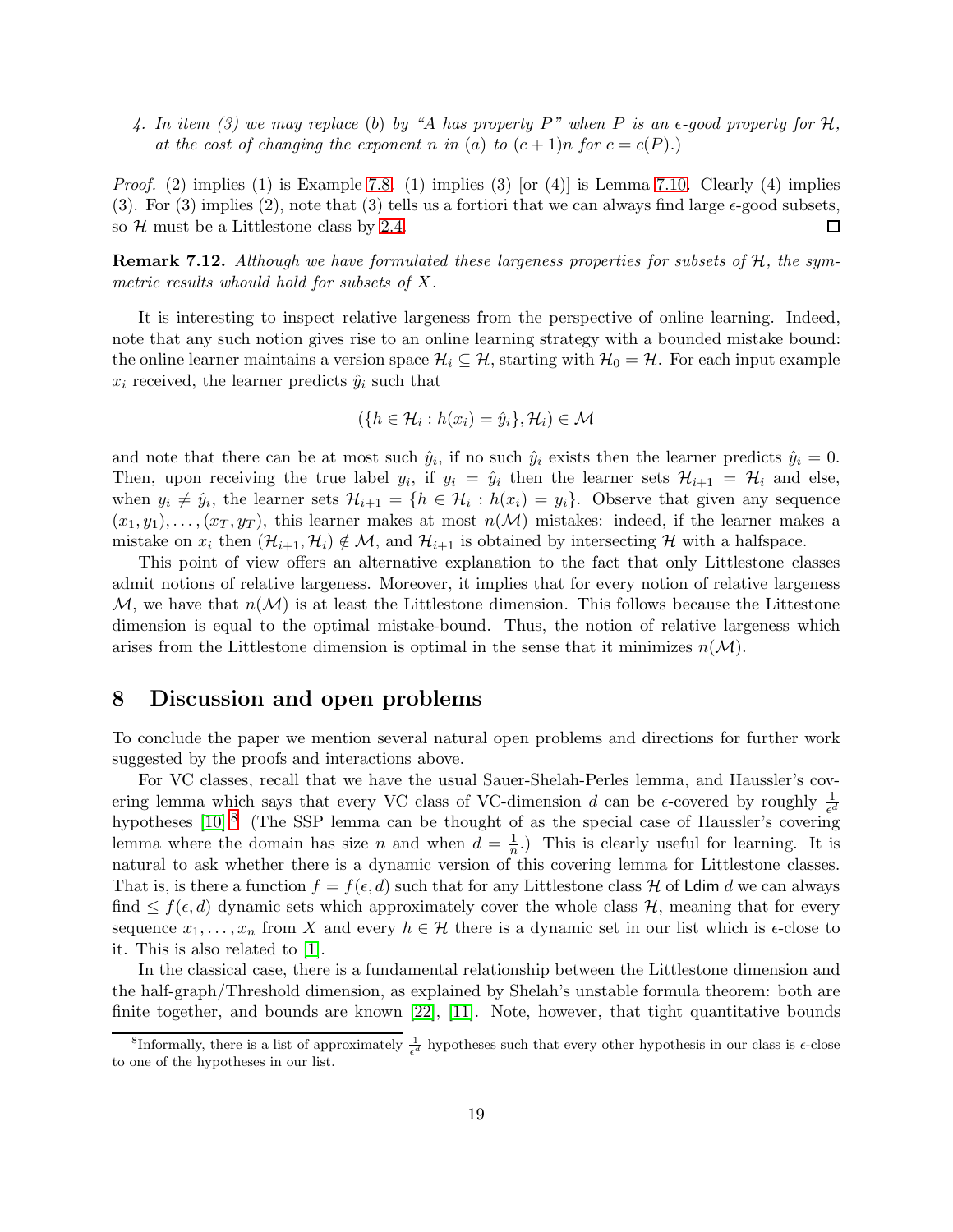4. In item (3) we may replace (b) by "A has property P" when P is an  $\epsilon$ -good property for H, at the cost of changing the exponent n in (a) to  $(c+1)n$  for  $c = c(P)$ .

*Proof.* (2) implies (1) is Example [7.8.](#page-16-3) (1) implies (3) [or (4)] is Lemma [7.10.](#page-17-0) Clearly (4) implies (3). For (3) implies (2), note that (3) tells us a fortiori that we can always find large  $\epsilon$ -good subsets, so  $H$  must be a Littlestone class by [2.4.](#page-5-2)  $\Box$ 

Remark 7.12. Although we have formulated these largeness properties for subsets of H, the symmetric results whould hold for subsets of X.

It is interesting to inspect relative largeness from the perspective of online learning. Indeed, note that any such notion gives rise to an online learning strategy with a bounded mistake bound: the online learner maintains a version space  $\mathcal{H}_i \subseteq \mathcal{H}$ , starting with  $\mathcal{H}_0 = \mathcal{H}$ . For each input example  $x_i$  received, the learner predicts  $\hat{y}_i$  such that

$$
(\{h \in \mathcal{H}_i : h(x_i) = \hat{y}_i\}, \mathcal{H}_i) \in \mathcal{M}
$$

and note that there can be at most such  $\hat{y}_i$ , if no such  $\hat{y}_i$  exists then the learner predicts  $\hat{y}_i = 0$ . Then, upon receiving the true label  $y_i$ , if  $y_i = \hat{y}_i$  then the learner sets  $\mathcal{H}_{i+1} = \mathcal{H}_i$  and else, when  $y_i \neq \hat{y}_i$ , the learner sets  $\mathcal{H}_{i+1} = \{h \in \mathcal{H}_i : h(x_i) = y_i\}$ . Observe that given any sequence  $(x_1, y_1), \ldots, (x_T, y_T)$ , this learner makes at most  $n(\mathcal{M})$  mistakes: indeed, if the learner makes a mistake on  $x_i$  then  $(\mathcal{H}_{i+1}, \mathcal{H}_i) \notin \mathcal{M}$ , and  $\mathcal{H}_{i+1}$  is obtained by intersecting H with a halfspace.

This point of view offers an alternative explanation to the fact that only Littlestone classes admit notions of relative largeness. Moreover, it implies that for every notion of relative largeness  $M$ , we have that  $n(M)$  is at least the Littlestone dimension. This follows because the Littestone dimension is equal to the optimal mistake-bound. Thus, the notion of relative largeness which arises from the Littlestone dimension is optimal in the sense that it minimizes  $n(\mathcal{M})$ .

### 8 Discussion and open problems

To conclude the paper we mention several natural open problems and directions for further work suggested by the proofs and interactions above.

For VC classes, recall that we have the usual Sauer-Shelah-Perles lemma, and Haussler's covering lemma which says that every VC class of VC-dimension d can be  $\epsilon$ -covered by roughly  $\frac{1}{\epsilon^d}$ hypotheses [\[10\]](#page-20-13).<sup>[8](#page-18-0)</sup> (The SSP lemma can be thought of as the special case of Haussler's covering lemma where the domain has size n and when  $d = \frac{1}{n}$ . This is clearly useful for learning. It is natural to ask whether there is a dynamic version of this covering lemma for Littlestone classes. That is, is there a function  $f = f(\epsilon, d)$  such that for any Littlestone class H of Ldim d we can always find  $\leq f(\epsilon, d)$  dynamic sets which approximately cover the whole class H, meaning that for every sequence  $x_1, \ldots, x_n$  from X and every  $h \in \mathcal{H}$  there is a dynamic set in our list which is  $\epsilon$ -close to it. This is also related to [\[1\]](#page-20-6).

In the classical case, there is a fundamental relationship between the Littlestone dimension and the half-graph/Threshold dimension, as explained by Shelah's unstable formula theorem: both are finite together, and bounds are known [\[22\]](#page-21-7), [\[11\]](#page-20-7). Note, however, that tight quantitative bounds

<span id="page-18-0"></span><sup>&</sup>lt;sup>8</sup>Informally, there is a list of approximately  $\frac{1}{\epsilon^d}$  hypotheses such that every other hypothesis in our class is  $\epsilon$ -close to one of the hypotheses in our list.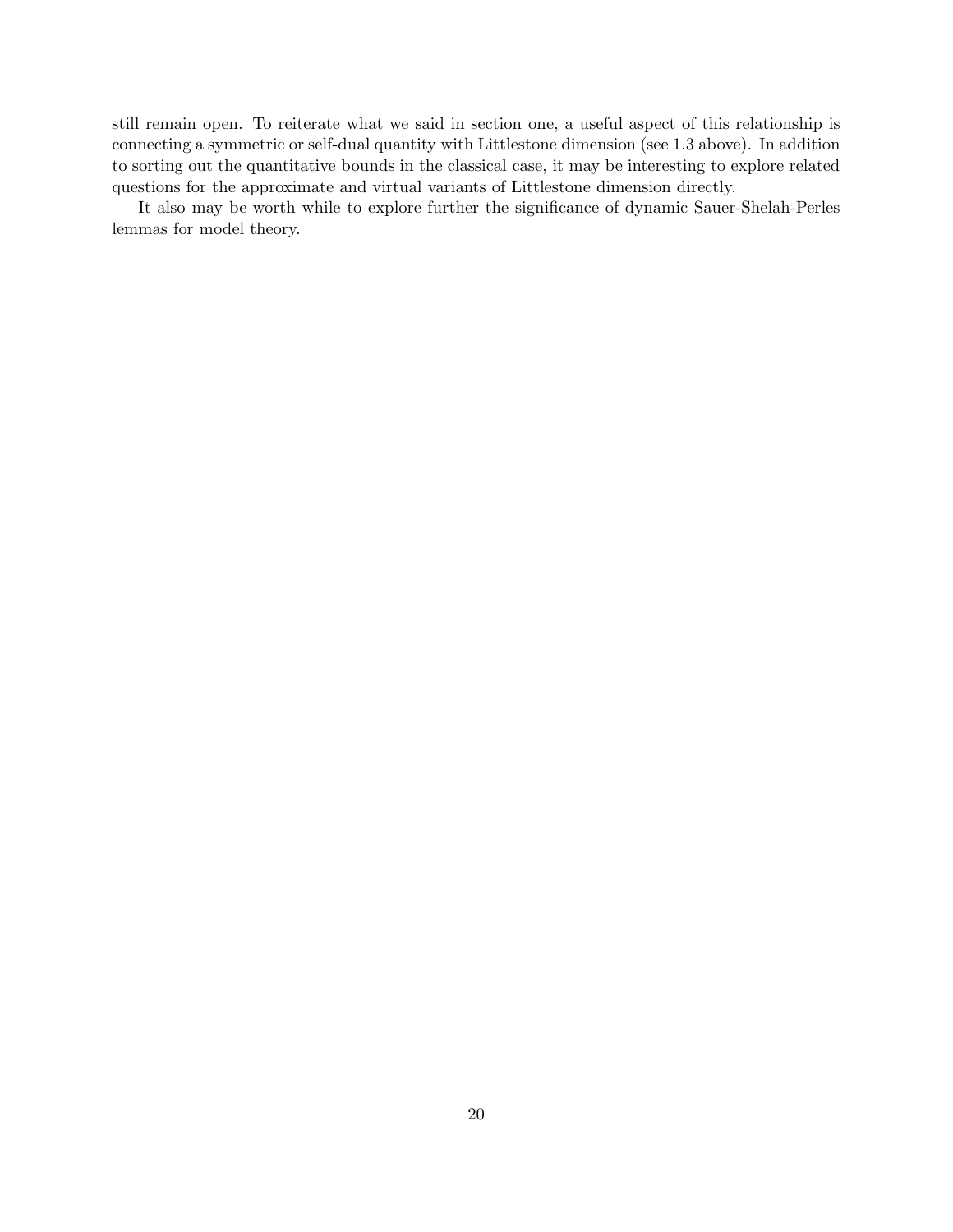still remain open. To reiterate what we said in section one, a useful aspect of this relationship is connecting a symmetric or self-dual quantity with Littlestone dimension (see 1.3 above). In addition to sorting out the quantitative bounds in the classical case, it may be interesting to explore related questions for the approximate and virtual variants of Littlestone dimension directly.

It also may be worth while to explore further the significance of dynamic Sauer-Shelah-Perles lemmas for model theory.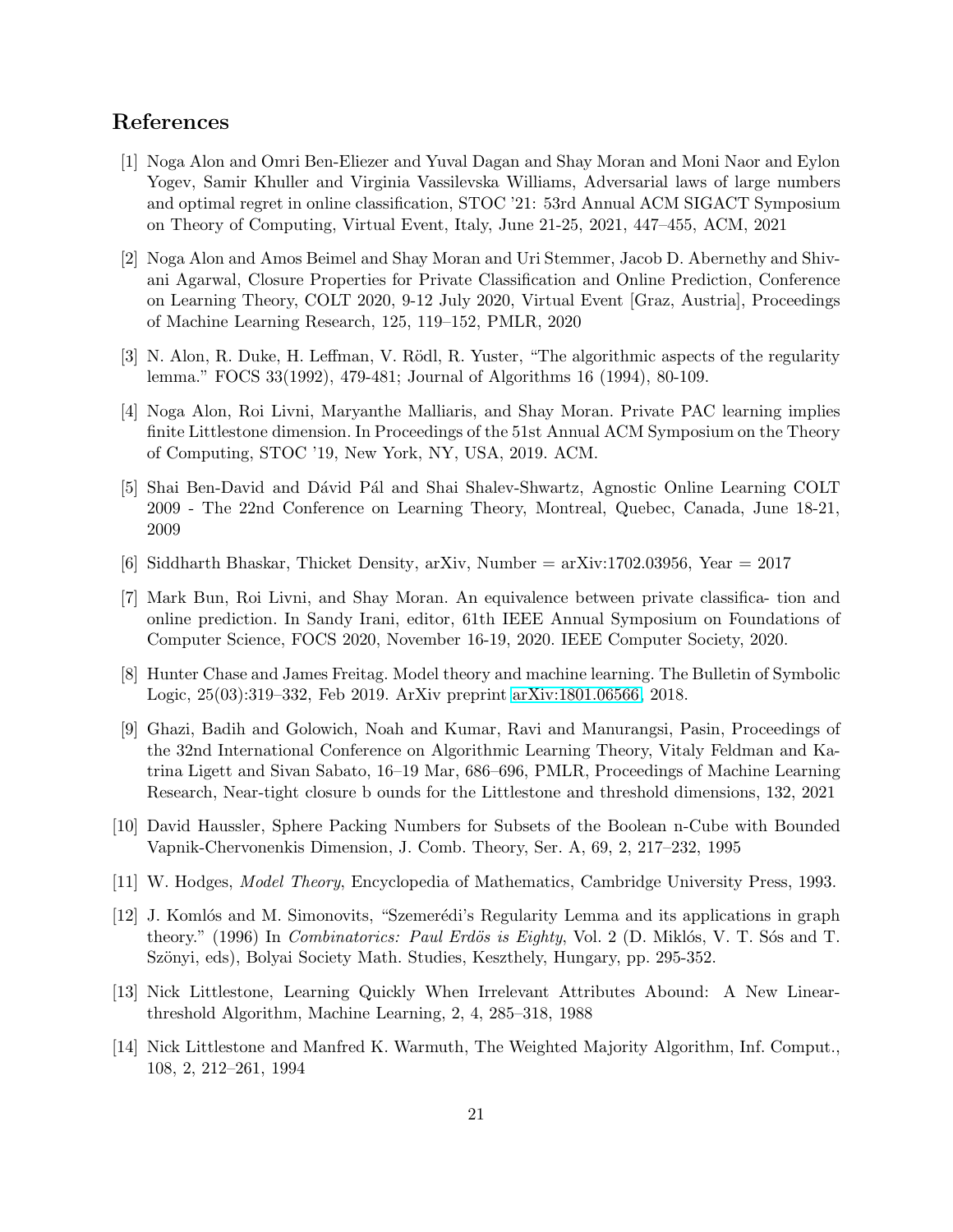# <span id="page-20-6"></span>References

- [1] Noga Alon and Omri Ben-Eliezer and Yuval Dagan and Shay Moran and Moni Naor and Eylon Yogev, Samir Khuller and Virginia Vassilevska Williams, Adversarial laws of large numbers and optimal regret in online classification, STOC '21: 53rd Annual ACM SIGACT Symposium on Theory of Computing, Virtual Event, Italy, June 21-25, 2021, 447–455, ACM, 2021
- <span id="page-20-11"></span>[2] Noga Alon and Amos Beimel and Shay Moran and Uri Stemmer, Jacob D. Abernethy and Shivani Agarwal, Closure Properties for Private Classification and Online Prediction, Conference on Learning Theory, COLT 2020, 9-12 July 2020, Virtual Event [Graz, Austria], Proceedings of Machine Learning Research, 125, 119–152, PMLR, 2020
- <span id="page-20-3"></span><span id="page-20-0"></span>[3] N. Alon, R. Duke, H. Leffman, V. Rödl, R. Yuster, "The algorithmic aspects of the regularity lemma." FOCS 33(1992), 479-481; Journal of Algorithms 16 (1994), 80-109.
- [4] Noga Alon, Roi Livni, Maryanthe Malliaris, and Shay Moran. Private PAC learning implies finite Littlestone dimension. In Proceedings of the 51st Annual ACM Symposium on the Theory of Computing, STOC '19, New York, NY, USA, 2019. ACM.
- <span id="page-20-5"></span>[5] Shai Ben-David and Dávid Pál and Shai Shalev-Shwartz, Agnostic Online Learning COLT 2009 - The 22nd Conference on Learning Theory, Montreal, Quebec, Canada, June 18-21, 2009
- <span id="page-20-9"></span><span id="page-20-1"></span>[6] Siddharth Bhaskar, Thicket Density, arXiv, Number = arXiv:1702.03956, Year = 2017
- [7] Mark Bun, Roi Livni, and Shay Moran. An equivalence between private classifica- tion and online prediction. In Sandy Irani, editor, 61th IEEE Annual Symposium on Foundations of Computer Science, FOCS 2020, November 16-19, 2020. IEEE Computer Society, 2020.
- <span id="page-20-8"></span>[8] Hunter Chase and James Freitag. Model theory and machine learning. The Bulletin of Symbolic Logic, 25(03):319–332, Feb 2019. ArXiv preprint [arXiv:1801.06566,](http://arxiv.org/abs/1801.06566) 2018.
- <span id="page-20-12"></span>[9] Ghazi, Badih and Golowich, Noah and Kumar, Ravi and Manurangsi, Pasin, Proceedings of the 32nd International Conference on Algorithmic Learning Theory, Vitaly Feldman and Katrina Ligett and Sivan Sabato, 16–19 Mar, 686–696, PMLR, Proceedings of Machine Learning Research, Near-tight closure b ounds for the Littlestone and threshold dimensions, 132, 2021
- <span id="page-20-13"></span><span id="page-20-7"></span>[10] David Haussler, Sphere Packing Numbers for Subsets of the Boolean n-Cube with Bounded Vapnik-Chervonenkis Dimension, J. Comb. Theory, Ser. A, 69, 2, 217–232, 1995
- <span id="page-20-2"></span>[11] W. Hodges, Model Theory, Encyclopedia of Mathematics, Cambridge University Press, 1993.
- [12] J. Komlós and M. Simonovits, "Szemerédi's Regularity Lemma and its applications in graph theory." (1996) In *Combinatorics: Paul Erdös is Eighty*, Vol. 2 (D. Miklós, V. T. Sós and T. Szönyi, eds), Bolyai Society Math. Studies, Keszthely, Hungary, pp. 295-352.
- <span id="page-20-4"></span>[13] Nick Littlestone, Learning Quickly When Irrelevant Attributes Abound: A New Linearthreshold Algorithm, Machine Learning, 2, 4, 285–318, 1988
- <span id="page-20-10"></span>[14] Nick Littlestone and Manfred K. Warmuth, The Weighted Majority Algorithm, Inf. Comput., 108, 2, 212–261, 1994